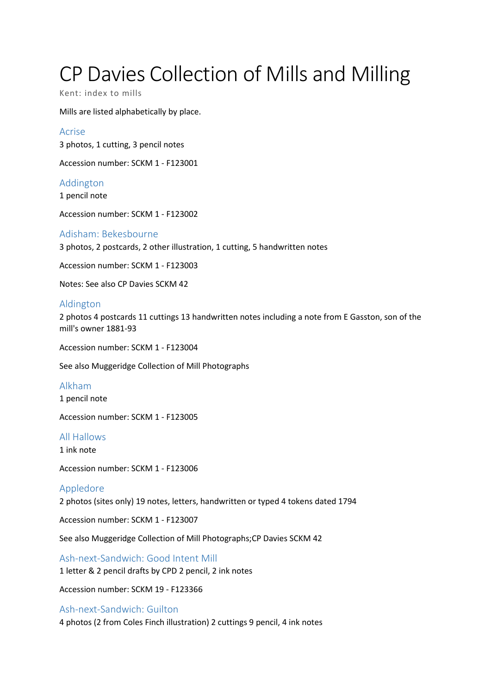# CP Davies Collection of Mills and Milling

Kent: index to mills

Mills are listed alphabetically by place.

Acrise 3 photos, 1 cutting, 3 pencil notes

Accession number: SCKM 1 - F123001

Addington 1 pencil note

Accession number: SCKM 1 - F123002

## Adisham: Bekesbourne

3 photos, 2 postcards, 2 other illustration, 1 cutting, 5 handwritten notes

Accession number: SCKM 1 - F123003

Notes: See also CP Davies SCKM 42

## Aldington

2 photos 4 postcards 11 cuttings 13 handwritten notes including a note from E Gasston, son of the mill's owner 1881-93

Accession number: SCKM 1 - F123004

See also Muggeridge Collection of Mill Photographs

#### Alkham

1 pencil note

Accession number: SCKM 1 - F123005

#### All Hallows

1 ink note

Accession number: SCKM 1 - F123006

#### Appledore

2 photos (sites only) 19 notes, letters, handwritten or typed 4 tokens dated 1794

Accession number: SCKM 1 - F123007

See also Muggeridge Collection of Mill Photographs;CP Davies SCKM 42

Ash-next-Sandwich: Good Intent Mill 1 letter & 2 pencil drafts by CPD 2 pencil, 2 ink notes

Accession number: SCKM 19 - F123366

#### Ash-next-Sandwich: Guilton

4 photos (2 from Coles Finch illustration) 2 cuttings 9 pencil, 4 ink notes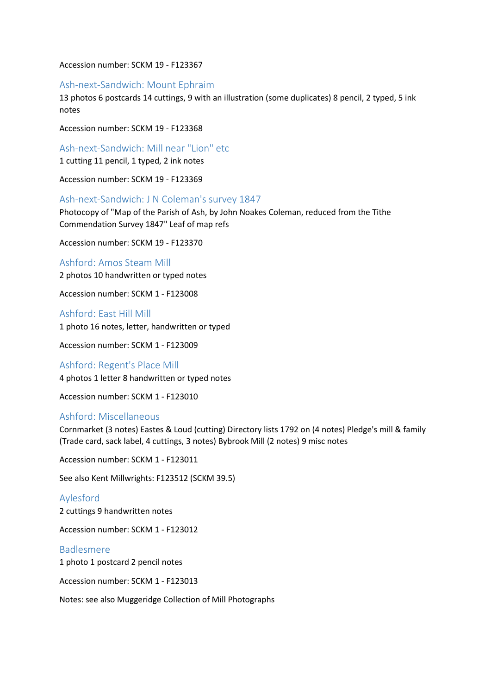Accession number: SCKM 19 - F123367

#### Ash-next-Sandwich: Mount Ephraim

13 photos 6 postcards 14 cuttings, 9 with an illustration (some duplicates) 8 pencil, 2 typed, 5 ink notes

Accession number: SCKM 19 - F123368

Ash-next-Sandwich: Mill near "Lion" etc

1 cutting 11 pencil, 1 typed, 2 ink notes

Accession number: SCKM 19 - F123369

#### Ash-next-Sandwich: J N Coleman's survey 1847

Photocopy of "Map of the Parish of Ash, by John Noakes Coleman, reduced from the Tithe Commendation Survey 1847" Leaf of map refs

Accession number: SCKM 19 - F123370

#### Ashford: Amos Steam Mill

2 photos 10 handwritten or typed notes

Accession number: SCKM 1 - F123008

Ashford: East Hill Mill 1 photo 16 notes, letter, handwritten or typed

Accession number: SCKM 1 - F123009

Ashford: Regent's Place Mill 4 photos 1 letter 8 handwritten or typed notes

Accession number: SCKM 1 - F123010

## Ashford: Miscellaneous

Cornmarket (3 notes) Eastes & Loud (cutting) Directory lists 1792 on (4 notes) Pledge's mill & family (Trade card, sack label, 4 cuttings, 3 notes) Bybrook Mill (2 notes) 9 misc notes

Accession number: SCKM 1 - F123011

See also Kent Millwrights: F123512 (SCKM 39.5)

Aylesford 2 cuttings 9 handwritten notes

Accession number: SCKM 1 - F123012

## Badlesmere

1 photo 1 postcard 2 pencil notes

Accession number: SCKM 1 - F123013

Notes: see also Muggeridge Collection of Mill Photographs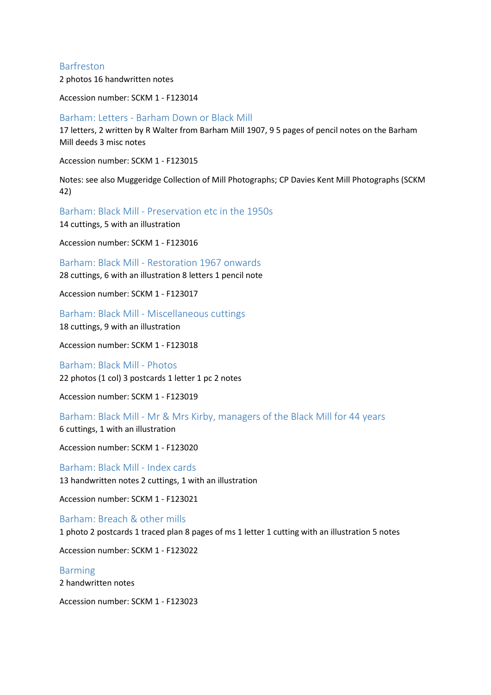## Barfreston

2 photos 16 handwritten notes

Accession number: SCKM 1 - F123014

#### Barham: Letters - Barham Down or Black Mill

17 letters, 2 written by R Walter from Barham Mill 1907, 9 5 pages of pencil notes on the Barham Mill deeds 3 misc notes

Accession number: SCKM 1 - F123015

Notes: see also Muggeridge Collection of Mill Photographs; CP Davies Kent Mill Photographs (SCKM 42)

Barham: Black Mill - Preservation etc in the 1950s

14 cuttings, 5 with an illustration

Accession number: SCKM 1 - F123016

Barham: Black Mill - Restoration 1967 onwards

28 cuttings, 6 with an illustration 8 letters 1 pencil note

Accession number: SCKM 1 - F123017

Barham: Black Mill - Miscellaneous cuttings 18 cuttings, 9 with an illustration

Accession number: SCKM 1 - F123018

Barham: Black Mill - Photos 22 photos (1 col) 3 postcards 1 letter 1 pc 2 notes

Accession number: SCKM 1 - F123019

Barham: Black Mill - Mr & Mrs Kirby, managers of the Black Mill for 44 years 6 cuttings, 1 with an illustration

Accession number: SCKM 1 - F123020

Barham: Black Mill - Index cards 13 handwritten notes 2 cuttings, 1 with an illustration

Accession number: SCKM 1 - F123021

Barham: Breach & other mills 1 photo 2 postcards 1 traced plan 8 pages of ms 1 letter 1 cutting with an illustration 5 notes

Accession number: SCKM 1 - F123022

Barming 2 handwritten notes

Accession number: SCKM 1 - F123023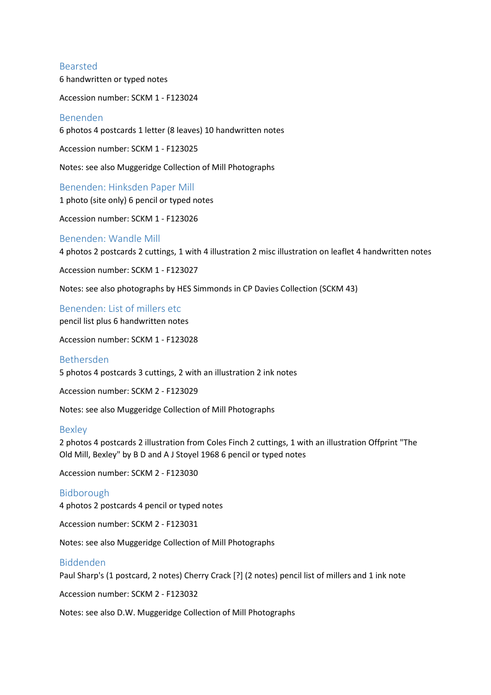#### Bearsted

6 handwritten or typed notes

Accession number: SCKM 1 - F123024

## Benenden

6 photos 4 postcards 1 letter (8 leaves) 10 handwritten notes

Accession number: SCKM 1 - F123025

Notes: see also Muggeridge Collection of Mill Photographs

Benenden: Hinksden Paper Mill 1 photo (site only) 6 pencil or typed notes

Accession number: SCKM 1 - F123026

#### Benenden: Wandle Mill

4 photos 2 postcards 2 cuttings, 1 with 4 illustration 2 misc illustration on leaflet 4 handwritten notes

Accession number: SCKM 1 - F123027

Notes: see also photographs by HES Simmonds in CP Davies Collection (SCKM 43)

Benenden: List of millers etc pencil list plus 6 handwritten notes

Accession number: SCKM 1 - F123028

## Bethersden

5 photos 4 postcards 3 cuttings, 2 with an illustration 2 ink notes

Accession number: SCKM 2 - F123029

Notes: see also Muggeridge Collection of Mill Photographs

#### Bexley

2 photos 4 postcards 2 illustration from Coles Finch 2 cuttings, 1 with an illustration Offprint "The Old Mill, Bexley" by B D and A J Stoyel 1968 6 pencil or typed notes

Accession number: SCKM 2 - F123030

#### Bidborough

4 photos 2 postcards 4 pencil or typed notes

Accession number: SCKM 2 - F123031

Notes: see also Muggeridge Collection of Mill Photographs

## Biddenden

Paul Sharp's (1 postcard, 2 notes) Cherry Crack [?] (2 notes) pencil list of millers and 1 ink note

Accession number: SCKM 2 - F123032

Notes: see also D.W. Muggeridge Collection of Mill Photographs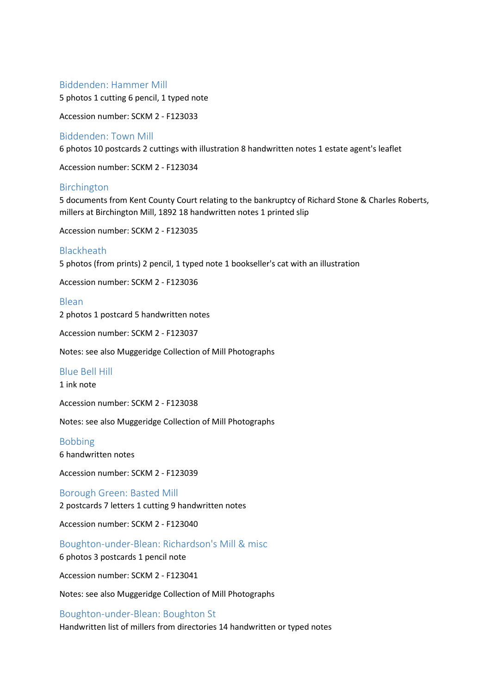#### Biddenden: Hammer Mill

5 photos 1 cutting 6 pencil, 1 typed note

Accession number: SCKM 2 - F123033

## Biddenden: Town Mill

6 photos 10 postcards 2 cuttings with illustration 8 handwritten notes 1 estate agent's leaflet

Accession number: SCKM 2 - F123034

## Birchington

5 documents from Kent County Court relating to the bankruptcy of Richard Stone & Charles Roberts, millers at Birchington Mill, 1892 18 handwritten notes 1 printed slip

Accession number: SCKM 2 - F123035

## **Blackheath**

5 photos (from prints) 2 pencil, 1 typed note 1 bookseller's cat with an illustration

Accession number: SCKM 2 - F123036

#### Blean

2 photos 1 postcard 5 handwritten notes

Accession number: SCKM 2 - F123037

Notes: see also Muggeridge Collection of Mill Photographs

#### Blue Bell Hill

1 ink note

Accession number: SCKM 2 - F123038

Notes: see also Muggeridge Collection of Mill Photographs

## Bobbing

6 handwritten notes

Accession number: SCKM 2 - F123039

Borough Green: Basted Mill 2 postcards 7 letters 1 cutting 9 handwritten notes

Accession number: SCKM 2 - F123040

Boughton-under-Blean: Richardson's Mill & misc

6 photos 3 postcards 1 pencil note

Accession number: SCKM 2 - F123041

Notes: see also Muggeridge Collection of Mill Photographs

#### Boughton-under-Blean: Boughton St

Handwritten list of millers from directories 14 handwritten or typed notes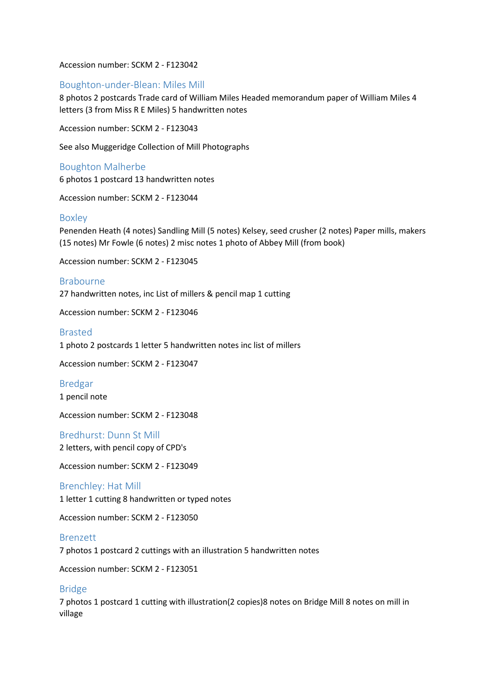Accession number: SCKM 2 - F123042

## Boughton-under-Blean: Miles Mill

8 photos 2 postcards Trade card of William Miles Headed memorandum paper of William Miles 4 letters (3 from Miss R E Miles) 5 handwritten notes

Accession number: SCKM 2 - F123043

See also Muggeridge Collection of Mill Photographs

#### Boughton Malherbe

6 photos 1 postcard 13 handwritten notes

Accession number: SCKM 2 - F123044

#### Boxley

Penenden Heath (4 notes) Sandling Mill (5 notes) Kelsey, seed crusher (2 notes) Paper mills, makers (15 notes) Mr Fowle (6 notes) 2 misc notes 1 photo of Abbey Mill (from book)

Accession number: SCKM 2 - F123045

Brabourne 27 handwritten notes, inc List of millers & pencil map 1 cutting

Accession number: SCKM 2 - F123046

## Brasted

1 photo 2 postcards 1 letter 5 handwritten notes inc list of millers

Accession number: SCKM 2 - F123047

Bredgar 1 pencil note

Accession number: SCKM 2 - F123048

Bredhurst: Dunn St Mill

2 letters, with pencil copy of CPD's

Accession number: SCKM 2 - F123049

## Brenchley: Hat Mill

1 letter 1 cutting 8 handwritten or typed notes

Accession number: SCKM 2 - F123050

#### Brenzett

7 photos 1 postcard 2 cuttings with an illustration 5 handwritten notes

Accession number: SCKM 2 - F123051

#### Bridge

7 photos 1 postcard 1 cutting with illustration(2 copies)8 notes on Bridge Mill 8 notes on mill in village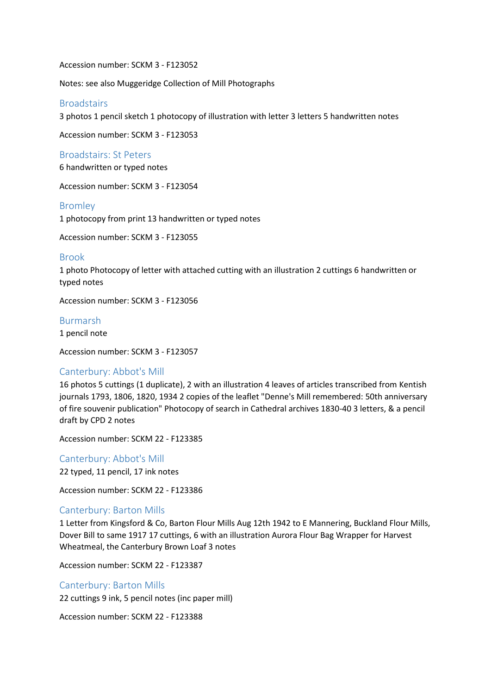Accession number: SCKM 3 - F123052

Notes: see also Muggeridge Collection of Mill Photographs

#### **Broadstairs**

3 photos 1 pencil sketch 1 photocopy of illustration with letter 3 letters 5 handwritten notes

Accession number: SCKM 3 - F123053

Broadstairs: St Peters

6 handwritten or typed notes

Accession number: SCKM 3 - F123054

#### Bromley

1 photocopy from print 13 handwritten or typed notes

Accession number: SCKM 3 - F123055

#### Brook

1 photo Photocopy of letter with attached cutting with an illustration 2 cuttings 6 handwritten or typed notes

Accession number: SCKM 3 - F123056

#### Burmarsh

1 pencil note

Accession number: SCKM 3 - F123057

## Canterbury: Abbot's Mill

16 photos 5 cuttings (1 duplicate), 2 with an illustration 4 leaves of articles transcribed from Kentish journals 1793, 1806, 1820, 1934 2 copies of the leaflet "Denne's Mill remembered: 50th anniversary of fire souvenir publication" Photocopy of search in Cathedral archives 1830-40 3 letters, & a pencil draft by CPD 2 notes

Accession number: SCKM 22 - F123385

Canterbury: Abbot's Mill 22 typed, 11 pencil, 17 ink notes

Accession number: SCKM 22 - F123386

## Canterbury: Barton Mills

1 Letter from Kingsford & Co, Barton Flour Mills Aug 12th 1942 to E Mannering, Buckland Flour Mills, Dover Bill to same 1917 17 cuttings, 6 with an illustration Aurora Flour Bag Wrapper for Harvest Wheatmeal, the Canterbury Brown Loaf 3 notes

Accession number: SCKM 22 - F123387

## Canterbury: Barton Mills

22 cuttings 9 ink, 5 pencil notes (inc paper mill)

Accession number: SCKM 22 - F123388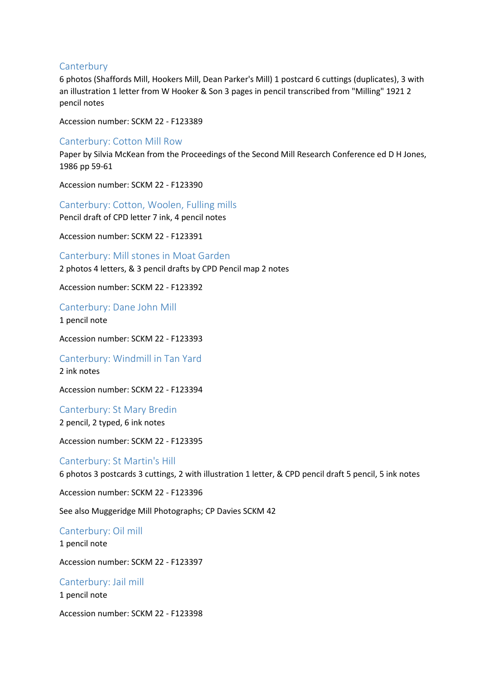## **Canterbury**

6 photos (Shaffords Mill, Hookers Mill, Dean Parker's Mill) 1 postcard 6 cuttings (duplicates), 3 with an illustration 1 letter from W Hooker & Son 3 pages in pencil transcribed from "Milling" 1921 2 pencil notes

Accession number: SCKM 22 - F123389

## Canterbury: Cotton Mill Row

Paper by Silvia McKean from the Proceedings of the Second Mill Research Conference ed D H Jones, 1986 pp 59-61

Accession number: SCKM 22 - F123390

Canterbury: Cotton, Woolen, Fulling mills

Pencil draft of CPD letter 7 ink, 4 pencil notes

Accession number: SCKM 22 - F123391

Canterbury: Mill stones in Moat Garden

2 photos 4 letters, & 3 pencil drafts by CPD Pencil map 2 notes

Accession number: SCKM 22 - F123392

Canterbury: Dane John Mill

1 pencil note

Accession number: SCKM 22 - F123393

Canterbury: Windmill in Tan Yard

2 ink notes

Accession number: SCKM 22 - F123394

Canterbury: St Mary Bredin 2 pencil, 2 typed, 6 ink notes

Accession number: SCKM 22 - F123395

Canterbury: St Martin's Hill

6 photos 3 postcards 3 cuttings, 2 with illustration 1 letter, & CPD pencil draft 5 pencil, 5 ink notes

Accession number: SCKM 22 - F123396

See also Muggeridge Mill Photographs; CP Davies SCKM 42

Canterbury: Oil mill

1 pencil note

Accession number: SCKM 22 - F123397

Canterbury: Jail mill

1 pencil note

Accession number: SCKM 22 - F123398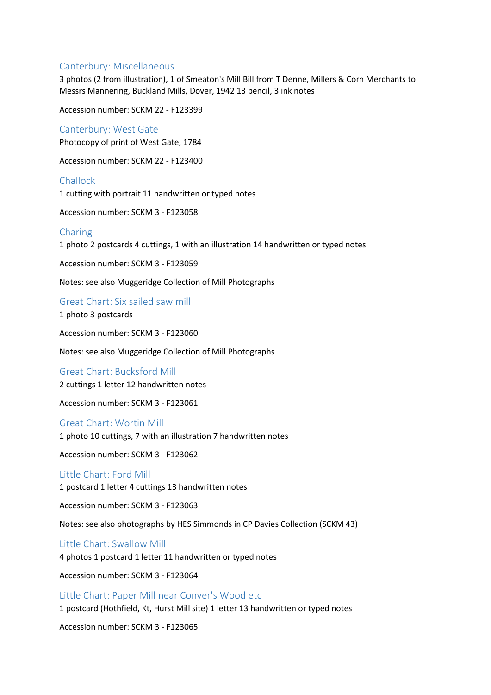## Canterbury: Miscellaneous

3 photos (2 from illustration), 1 of Smeaton's Mill Bill from T Denne, Millers & Corn Merchants to Messrs Mannering, Buckland Mills, Dover, 1942 13 pencil, 3 ink notes

Accession number: SCKM 22 - F123399

#### Canterbury: West Gate

Photocopy of print of West Gate, 1784

Accession number: SCKM 22 - F123400

Challock 1 cutting with portrait 11 handwritten or typed notes

Accession number: SCKM 3 - F123058

## Charing

1 photo 2 postcards 4 cuttings, 1 with an illustration 14 handwritten or typed notes

Accession number: SCKM 3 - F123059

Notes: see also Muggeridge Collection of Mill Photographs

Great Chart: Six sailed saw mill 1 photo 3 postcards

Accession number: SCKM 3 - F123060

Notes: see also Muggeridge Collection of Mill Photographs

Great Chart: Bucksford Mill

2 cuttings 1 letter 12 handwritten notes

Accession number: SCKM 3 - F123061

#### Great Chart: Wortin Mill

1 photo 10 cuttings, 7 with an illustration 7 handwritten notes

Accession number: SCKM 3 - F123062

#### Little Chart: Ford Mill

1 postcard 1 letter 4 cuttings 13 handwritten notes

Accession number: SCKM 3 - F123063

Notes: see also photographs by HES Simmonds in CP Davies Collection (SCKM 43)

#### Little Chart: Swallow Mill

4 photos 1 postcard 1 letter 11 handwritten or typed notes

Accession number: SCKM 3 - F123064

Little Chart: Paper Mill near Conyer's Wood etc

1 postcard (Hothfield, Kt, Hurst Mill site) 1 letter 13 handwritten or typed notes

Accession number: SCKM 3 - F123065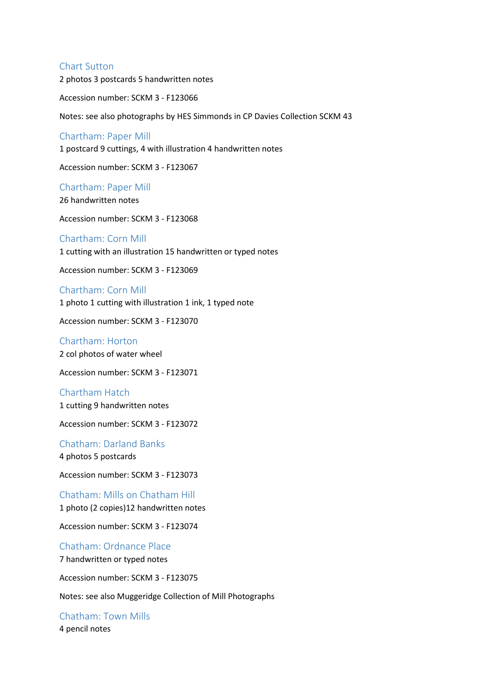## Chart Sutton

2 photos 3 postcards 5 handwritten notes

Accession number: SCKM 3 - F123066

Notes: see also photographs by HES Simmonds in CP Davies Collection SCKM 43

#### Chartham: Paper Mill

1 postcard 9 cuttings, 4 with illustration 4 handwritten notes

Accession number: SCKM 3 - F123067

Chartham: Paper Mill

26 handwritten notes

Accession number: SCKM 3 - F123068

Chartham: Corn Mill 1 cutting with an illustration 15 handwritten or typed notes

Accession number: SCKM 3 - F123069

Chartham: Corn Mill

1 photo 1 cutting with illustration 1 ink, 1 typed note

Accession number: SCKM 3 - F123070

Chartham: Horton 2 col photos of water wheel

Accession number: SCKM 3 - F123071

Chartham Hatch 1 cutting 9 handwritten notes

Accession number: SCKM 3 - F123072

Chatham: Darland Banks 4 photos 5 postcards

Accession number: SCKM 3 - F123073

Chatham: Mills on Chatham Hill 1 photo (2 copies)12 handwritten notes

Accession number: SCKM 3 - F123074

Chatham: Ordnance Place 7 handwritten or typed notes

Accession number: SCKM 3 - F123075

Notes: see also Muggeridge Collection of Mill Photographs

Chatham: Town Mills 4 pencil notes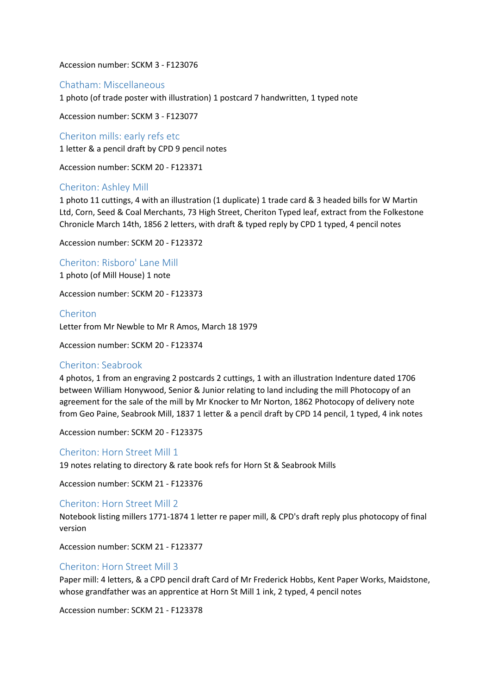#### Accession number: SCKM 3 - F123076

#### Chatham: Miscellaneous

1 photo (of trade poster with illustration) 1 postcard 7 handwritten, 1 typed note

Accession number: SCKM 3 - F123077

Cheriton mills: early refs etc 1 letter & a pencil draft by CPD 9 pencil notes

Accession number: SCKM 20 - F123371

## Cheriton: Ashley Mill

1 photo 11 cuttings, 4 with an illustration (1 duplicate) 1 trade card & 3 headed bills for W Martin Ltd, Corn, Seed & Coal Merchants, 73 High Street, Cheriton Typed leaf, extract from the Folkestone Chronicle March 14th, 1856 2 letters, with draft & typed reply by CPD 1 typed, 4 pencil notes

Accession number: SCKM 20 - F123372

Cheriton: Risboro' Lane Mill

1 photo (of Mill House) 1 note

Accession number: SCKM 20 - F123373

Cheriton

Letter from Mr Newble to Mr R Amos, March 18 1979

Accession number: SCKM 20 - F123374

#### Cheriton: Seabrook

4 photos, 1 from an engraving 2 postcards 2 cuttings, 1 with an illustration Indenture dated 1706 between William Honywood, Senior & Junior relating to land including the mill Photocopy of an agreement for the sale of the mill by Mr Knocker to Mr Norton, 1862 Photocopy of delivery note from Geo Paine, Seabrook Mill, 1837 1 letter & a pencil draft by CPD 14 pencil, 1 typed, 4 ink notes

Accession number: SCKM 20 - F123375

Cheriton: Horn Street Mill 1 19 notes relating to directory & rate book refs for Horn St & Seabrook Mills

Accession number: SCKM 21 - F123376

#### Cheriton: Horn Street Mill 2

Notebook listing millers 1771-1874 1 letter re paper mill, & CPD's draft reply plus photocopy of final version

Accession number: SCKM 21 - F123377

## Cheriton: Horn Street Mill 3

Paper mill: 4 letters, & a CPD pencil draft Card of Mr Frederick Hobbs, Kent Paper Works, Maidstone, whose grandfather was an apprentice at Horn St Mill 1 ink, 2 typed, 4 pencil notes

Accession number: SCKM 21 - F123378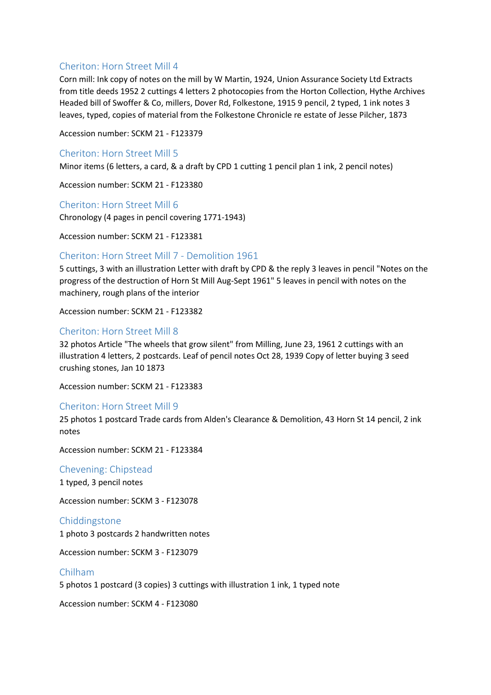## Cheriton: Horn Street Mill 4

Corn mill: Ink copy of notes on the mill by W Martin, 1924, Union Assurance Society Ltd Extracts from title deeds 1952 2 cuttings 4 letters 2 photocopies from the Horton Collection, Hythe Archives Headed bill of Swoffer & Co, millers, Dover Rd, Folkestone, 1915 9 pencil, 2 typed, 1 ink notes 3 leaves, typed, copies of material from the Folkestone Chronicle re estate of Jesse Pilcher, 1873

Accession number: SCKM 21 - F123379

## Cheriton: Horn Street Mill 5

Minor items (6 letters, a card, & a draft by CPD 1 cutting 1 pencil plan 1 ink, 2 pencil notes)

Accession number: SCKM 21 - F123380

Cheriton: Horn Street Mill 6 Chronology (4 pages in pencil covering 1771-1943)

Accession number: SCKM 21 - F123381

## Cheriton: Horn Street Mill 7 - Demolition 1961

5 cuttings, 3 with an illustration Letter with draft by CPD & the reply 3 leaves in pencil "Notes on the progress of the destruction of Horn St Mill Aug-Sept 1961" 5 leaves in pencil with notes on the machinery, rough plans of the interior

Accession number: SCKM 21 - F123382

## Cheriton: Horn Street Mill 8

32 photos Article "The wheels that grow silent" from Milling, June 23, 1961 2 cuttings with an illustration 4 letters, 2 postcards. Leaf of pencil notes Oct 28, 1939 Copy of letter buying 3 seed crushing stones, Jan 10 1873

Accession number: SCKM 21 - F123383

## Cheriton: Horn Street Mill 9

25 photos 1 postcard Trade cards from Alden's Clearance & Demolition, 43 Horn St 14 pencil, 2 ink notes

Accession number: SCKM 21 - F123384

Chevening: Chipstead 1 typed, 3 pencil notes

Accession number: SCKM 3 - F123078

Chiddingstone 1 photo 3 postcards 2 handwritten notes

Accession number: SCKM 3 - F123079

Chilham 5 photos 1 postcard (3 copies) 3 cuttings with illustration 1 ink, 1 typed note

Accession number: SCKM 4 - F123080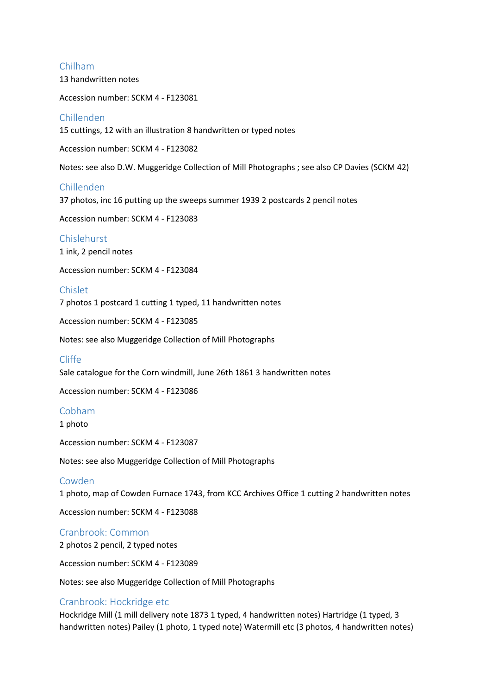## Chilham

13 handwritten notes

Accession number: SCKM 4 - F123081

## Chillenden

15 cuttings, 12 with an illustration 8 handwritten or typed notes

Accession number: SCKM 4 - F123082

Notes: see also D.W. Muggeridge Collection of Mill Photographs ; see also CP Davies (SCKM 42)

## Chillenden

37 photos, inc 16 putting up the sweeps summer 1939 2 postcards 2 pencil notes

Accession number: SCKM 4 - F123083

## Chislehurst

1 ink, 2 pencil notes

Accession number: SCKM 4 - F123084

#### Chislet

7 photos 1 postcard 1 cutting 1 typed, 11 handwritten notes

Accession number: SCKM 4 - F123085

Notes: see also Muggeridge Collection of Mill Photographs

## Cliffe

Sale catalogue for the Corn windmill, June 26th 1861 3 handwritten notes

Accession number: SCKM 4 - F123086

#### Cobham

1 photo

Accession number: SCKM 4 - F123087

Notes: see also Muggeridge Collection of Mill Photographs

#### Cowden

1 photo, map of Cowden Furnace 1743, from KCC Archives Office 1 cutting 2 handwritten notes

Accession number: SCKM 4 - F123088

## Cranbrook: Common

2 photos 2 pencil, 2 typed notes

Accession number: SCKM 4 - F123089

Notes: see also Muggeridge Collection of Mill Photographs

## Cranbrook: Hockridge etc

Hockridge Mill (1 mill delivery note 1873 1 typed, 4 handwritten notes) Hartridge (1 typed, 3 handwritten notes) Pailey (1 photo, 1 typed note) Watermill etc (3 photos, 4 handwritten notes)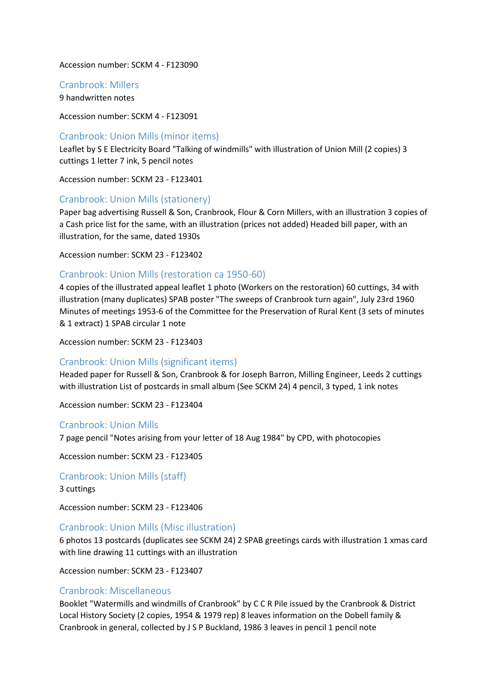#### Accession number: SCKM 4 - F123090

#### Cranbrook: Millers

9 handwritten notes

Accession number: SCKM 4 - F123091

#### Cranbrook: Union Mills (minor items)

Leaflet by S E Electricity Board "Talking of windmills" with illustration of Union Mill (2 copies) 3 cuttings 1 letter 7 ink, 5 pencil notes

Accession number: SCKM 23 - F123401

#### Cranbrook: Union Mills (stationery)

Paper bag advertising Russell & Son, Cranbrook, Flour & Corn Millers, with an illustration 3 copies of a Cash price list for the same, with an illustration (prices not added) Headed bill paper, with an illustration, for the same, dated 1930s

Accession number: SCKM 23 - F123402

## Cranbrook: Union Mills (restoration ca 1950-60)

4 copies of the illustrated appeal leaflet 1 photo (Workers on the restoration) 60 cuttings, 34 with illustration (many duplicates) SPAB poster "The sweeps of Cranbrook turn again", July 23rd 1960 Minutes of meetings 1953-6 of the Committee for the Preservation of Rural Kent (3 sets of minutes & 1 extract) 1 SPAB circular 1 note

Accession number: SCKM 23 - F123403

#### Cranbrook: Union Mills (significant items)

Headed paper for Russell & Son, Cranbrook & for Joseph Barron, Milling Engineer, Leeds 2 cuttings with illustration List of postcards in small album (See SCKM 24) 4 pencil, 3 typed, 1 ink notes

Accession number: SCKM 23 - F123404

#### Cranbrook: Union Mills

7 page pencil "Notes arising from your letter of 18 Aug 1984" by CPD, with photocopies

Accession number: SCKM 23 - F123405

Cranbrook: Union Mills (staff)

3 cuttings

Accession number: SCKM 23 - F123406

#### Cranbrook: Union Mills (Misc illustration)

6 photos 13 postcards (duplicates see SCKM 24) 2 SPAB greetings cards with illustration 1 xmas card with line drawing 11 cuttings with an illustration

Accession number: SCKM 23 - F123407

#### Cranbrook: Miscellaneous

Booklet "Watermills and windmills of Cranbrook" by C C R Pile issued by the Cranbrook & District Local History Society (2 copies, 1954 & 1979 rep) 8 leaves information on the Dobell family & Cranbrook in general, collected by J S P Buckland, 1986 3 leaves in pencil 1 pencil note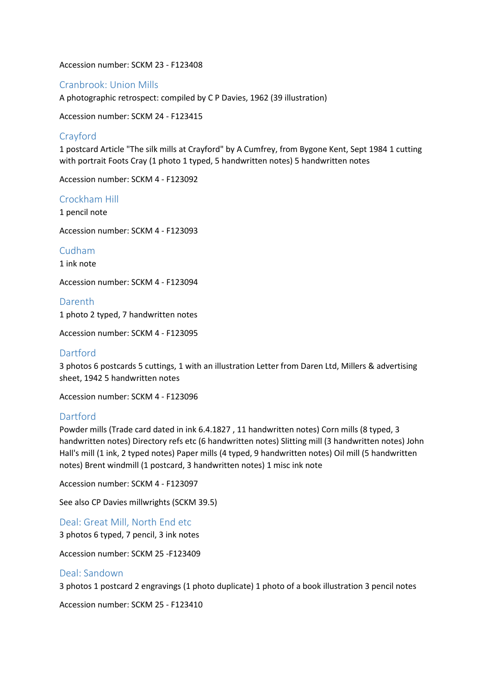Accession number: SCKM 23 - F123408

## Cranbrook: Union Mills

A photographic retrospect: compiled by C P Davies, 1962 (39 illustration)

Accession number: SCKM 24 - F123415

## Crayford

1 postcard Article "The silk mills at Crayford" by A Cumfrey, from Bygone Kent, Sept 1984 1 cutting with portrait Foots Cray (1 photo 1 typed, 5 handwritten notes) 5 handwritten notes

Accession number: SCKM 4 - F123092

## Crockham Hill

1 pencil note

Accession number: SCKM 4 - F123093

Cudham

1 ink note

Accession number: SCKM 4 - F123094

Darenth

1 photo 2 typed, 7 handwritten notes

Accession number: SCKM 4 - F123095

## Dartford

3 photos 6 postcards 5 cuttings, 1 with an illustration Letter from Daren Ltd, Millers & advertising sheet, 1942 5 handwritten notes

Accession number: SCKM 4 - F123096

## Dartford

Powder mills (Trade card dated in ink 6.4.1827 , 11 handwritten notes) Corn mills (8 typed, 3 handwritten notes) Directory refs etc (6 handwritten notes) Slitting mill (3 handwritten notes) John Hall's mill (1 ink, 2 typed notes) Paper mills (4 typed, 9 handwritten notes) Oil mill (5 handwritten notes) Brent windmill (1 postcard, 3 handwritten notes) 1 misc ink note

Accession number: SCKM 4 - F123097

See also CP Davies millwrights (SCKM 39.5)

Deal: Great Mill, North End etc

3 photos 6 typed, 7 pencil, 3 ink notes

Accession number: SCKM 25 -F123409

#### Deal: Sandown

3 photos 1 postcard 2 engravings (1 photo duplicate) 1 photo of a book illustration 3 pencil notes

Accession number: SCKM 25 - F123410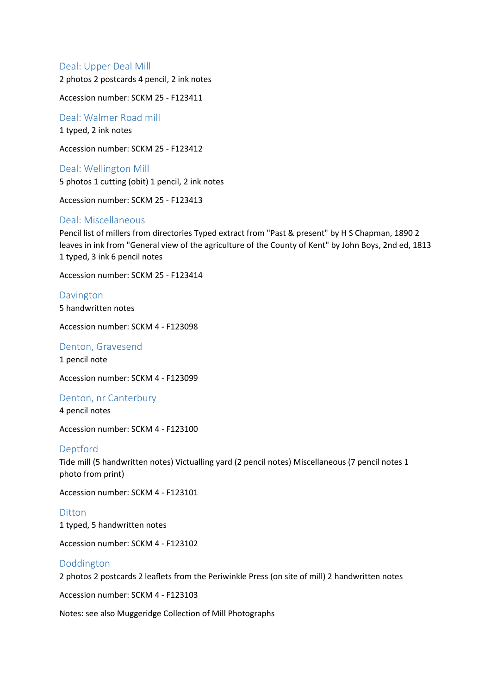## Deal: Upper Deal Mill

2 photos 2 postcards 4 pencil, 2 ink notes

Accession number: SCKM 25 - F123411

Deal: Walmer Road mill 1 typed, 2 ink notes

Accession number: SCKM 25 - F123412

Deal: Wellington Mill 5 photos 1 cutting (obit) 1 pencil, 2 ink notes

Accession number: SCKM 25 - F123413

## Deal: Miscellaneous

Pencil list of millers from directories Typed extract from "Past & present" by H S Chapman, 1890 2 leaves in ink from "General view of the agriculture of the County of Kent" by John Boys, 2nd ed, 1813 1 typed, 3 ink 6 pencil notes

Accession number: SCKM 25 - F123414

Davington 5 handwritten notes

Accession number: SCKM 4 - F123098

#### Denton, Gravesend

1 pencil note

Accession number: SCKM 4 - F123099

Denton, nr Canterbury 4 pencil notes

Accession number: SCKM 4 - F123100

#### Deptford

Tide mill (5 handwritten notes) Victualling yard (2 pencil notes) Miscellaneous (7 pencil notes 1 photo from print)

Accession number: SCKM 4 - F123101

#### Ditton

1 typed, 5 handwritten notes

Accession number: SCKM 4 - F123102

## Doddington

2 photos 2 postcards 2 leaflets from the Periwinkle Press (on site of mill) 2 handwritten notes

Accession number: SCKM 4 - F123103

Notes: see also Muggeridge Collection of Mill Photographs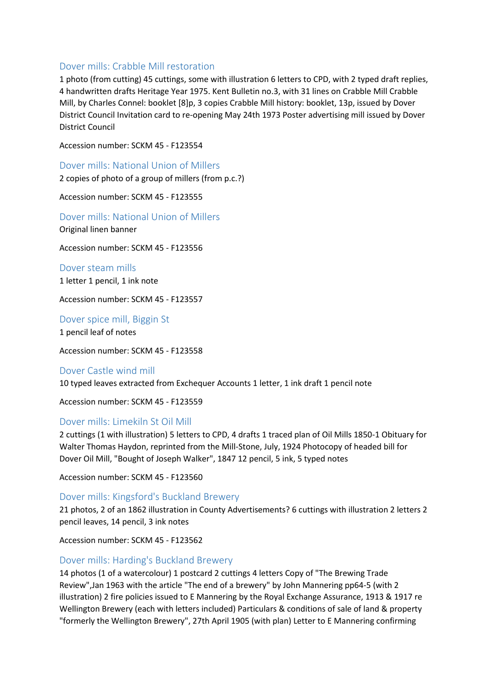## Dover mills: Crabble Mill restoration

1 photo (from cutting) 45 cuttings, some with illustration 6 letters to CPD, with 2 typed draft replies, 4 handwritten drafts Heritage Year 1975. Kent Bulletin no.3, with 31 lines on Crabble Mill Crabble Mill, by Charles Connel: booklet [8]p, 3 copies Crabble Mill history: booklet, 13p, issued by Dover District Council Invitation card to re-opening May 24th 1973 Poster advertising mill issued by Dover District Council

Accession number: SCKM 45 - F123554

Dover mills: National Union of Millers

2 copies of photo of a group of millers (from p.c.?)

Accession number: SCKM 45 - F123555

Dover mills: National Union of Millers Original linen banner

Accession number: SCKM 45 - F123556

Dover steam mills 1 letter 1 pencil, 1 ink note

Accession number: SCKM 45 - F123557

Dover spice mill, Biggin St

1 pencil leaf of notes

Accession number: SCKM 45 - F123558

## Dover Castle wind mill

10 typed leaves extracted from Exchequer Accounts 1 letter, 1 ink draft 1 pencil note

Accession number: SCKM 45 - F123559

## Dover mills: Limekiln St Oil Mill

2 cuttings (1 with illustration) 5 letters to CPD, 4 drafts 1 traced plan of Oil Mills 1850-1 Obituary for Walter Thomas Haydon, reprinted from the Mill-Stone, July, 1924 Photocopy of headed bill for Dover Oil Mill, "Bought of Joseph Walker", 1847 12 pencil, 5 ink, 5 typed notes

Accession number: SCKM 45 - F123560

## Dover mills: Kingsford's Buckland Brewery

21 photos, 2 of an 1862 illustration in County Advertisements? 6 cuttings with illustration 2 letters 2 pencil leaves, 14 pencil, 3 ink notes

Accession number: SCKM 45 - F123562

## Dover mills: Harding's Buckland Brewery

14 photos (1 of a watercolour) 1 postcard 2 cuttings 4 letters Copy of "The Brewing Trade Review",Jan 1963 with the article "The end of a brewery" by John Mannering pp64-5 (with 2 illustration) 2 fire policies issued to E Mannering by the Royal Exchange Assurance, 1913 & 1917 re Wellington Brewery (each with letters included) Particulars & conditions of sale of land & property "formerly the Wellington Brewery", 27th April 1905 (with plan) Letter to E Mannering confirming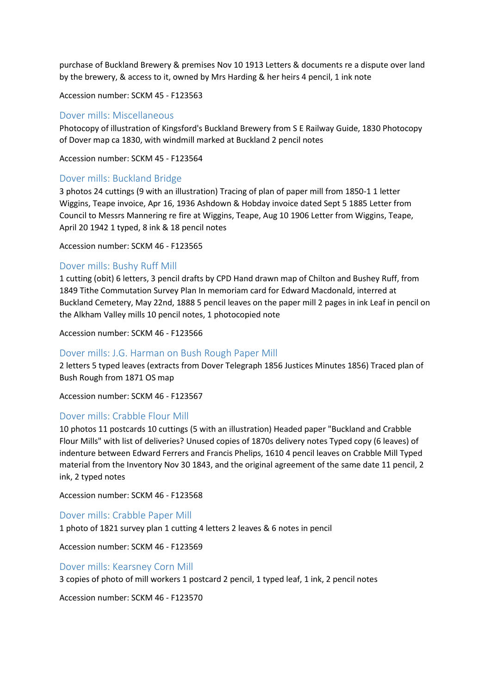purchase of Buckland Brewery & premises Nov 10 1913 Letters & documents re a dispute over land by the brewery, & access to it, owned by Mrs Harding & her heirs 4 pencil, 1 ink note

Accession number: SCKM 45 - F123563

## Dover mills: Miscellaneous

Photocopy of illustration of Kingsford's Buckland Brewery from S E Railway Guide, 1830 Photocopy of Dover map ca 1830, with windmill marked at Buckland 2 pencil notes

Accession number: SCKM 45 - F123564

## Dover mills: Buckland Bridge

3 photos 24 cuttings (9 with an illustration) Tracing of plan of paper mill from 1850-1 1 letter Wiggins, Teape invoice, Apr 16, 1936 Ashdown & Hobday invoice dated Sept 5 1885 Letter from Council to Messrs Mannering re fire at Wiggins, Teape, Aug 10 1906 Letter from Wiggins, Teape, April 20 1942 1 typed, 8 ink & 18 pencil notes

Accession number: SCKM 46 - F123565

## Dover mills: Bushy Ruff Mill

1 cutting (obit) 6 letters, 3 pencil drafts by CPD Hand drawn map of Chilton and Bushey Ruff, from 1849 Tithe Commutation Survey Plan In memoriam card for Edward Macdonald, interred at Buckland Cemetery, May 22nd, 1888 5 pencil leaves on the paper mill 2 pages in ink Leaf in pencil on the Alkham Valley mills 10 pencil notes, 1 photocopied note

Accession number: SCKM 46 - F123566

## Dover mills: J.G. Harman on Bush Rough Paper Mill

2 letters 5 typed leaves (extracts from Dover Telegraph 1856 Justices Minutes 1856) Traced plan of Bush Rough from 1871 OS map

Accession number: SCKM 46 - F123567

## Dover mills: Crabble Flour Mill

10 photos 11 postcards 10 cuttings (5 with an illustration) Headed paper "Buckland and Crabble Flour Mills" with list of deliveries? Unused copies of 1870s delivery notes Typed copy (6 leaves) of indenture between Edward Ferrers and Francis Phelips, 1610 4 pencil leaves on Crabble Mill Typed material from the Inventory Nov 30 1843, and the original agreement of the same date 11 pencil, 2 ink, 2 typed notes

Accession number: SCKM 46 - F123568

## Dover mills: Crabble Paper Mill

1 photo of 1821 survey plan 1 cutting 4 letters 2 leaves & 6 notes in pencil

Accession number: SCKM 46 - F123569

## Dover mills: Kearsney Corn Mill

3 copies of photo of mill workers 1 postcard 2 pencil, 1 typed leaf, 1 ink, 2 pencil notes

Accession number: SCKM 46 - F123570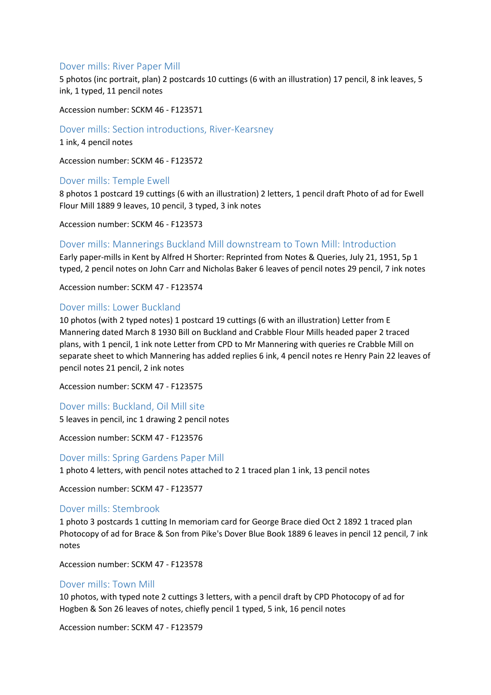## Dover mills: River Paper Mill

5 photos (inc portrait, plan) 2 postcards 10 cuttings (6 with an illustration) 17 pencil, 8 ink leaves, 5 ink, 1 typed, 11 pencil notes

Accession number: SCKM 46 - F123571

Dover mills: Section introductions, River-Kearsney

1 ink, 4 pencil notes

Accession number: SCKM 46 - F123572

## Dover mills: Temple Ewell

8 photos 1 postcard 19 cuttings (6 with an illustration) 2 letters, 1 pencil draft Photo of ad for Ewell Flour Mill 1889 9 leaves, 10 pencil, 3 typed, 3 ink notes

Accession number: SCKM 46 - F123573

#### Dover mills: Mannerings Buckland Mill downstream to Town Mill: Introduction

Early paper-mills in Kent by Alfred H Shorter: Reprinted from Notes & Queries, July 21, 1951, 5p 1 typed, 2 pencil notes on John Carr and Nicholas Baker 6 leaves of pencil notes 29 pencil, 7 ink notes

Accession number: SCKM 47 - F123574

#### Dover mills: Lower Buckland

10 photos (with 2 typed notes) 1 postcard 19 cuttings (6 with an illustration) Letter from E Mannering dated March 8 1930 Bill on Buckland and Crabble Flour Mills headed paper 2 traced plans, with 1 pencil, 1 ink note Letter from CPD to Mr Mannering with queries re Crabble Mill on separate sheet to which Mannering has added replies 6 ink, 4 pencil notes re Henry Pain 22 leaves of pencil notes 21 pencil, 2 ink notes

Accession number: SCKM 47 - F123575

#### Dover mills: Buckland, Oil Mill site

5 leaves in pencil, inc 1 drawing 2 pencil notes

Accession number: SCKM 47 - F123576

Dover mills: Spring Gardens Paper Mill

1 photo 4 letters, with pencil notes attached to 2 1 traced plan 1 ink, 13 pencil notes

Accession number: SCKM 47 - F123577

#### Dover mills: Stembrook

1 photo 3 postcards 1 cutting In memoriam card for George Brace died Oct 2 1892 1 traced plan Photocopy of ad for Brace & Son from Pike's Dover Blue Book 1889 6 leaves in pencil 12 pencil, 7 ink notes

Accession number: SCKM 47 - F123578

#### Dover mills: Town Mill

10 photos, with typed note 2 cuttings 3 letters, with a pencil draft by CPD Photocopy of ad for Hogben & Son 26 leaves of notes, chiefly pencil 1 typed, 5 ink, 16 pencil notes

Accession number: SCKM 47 - F123579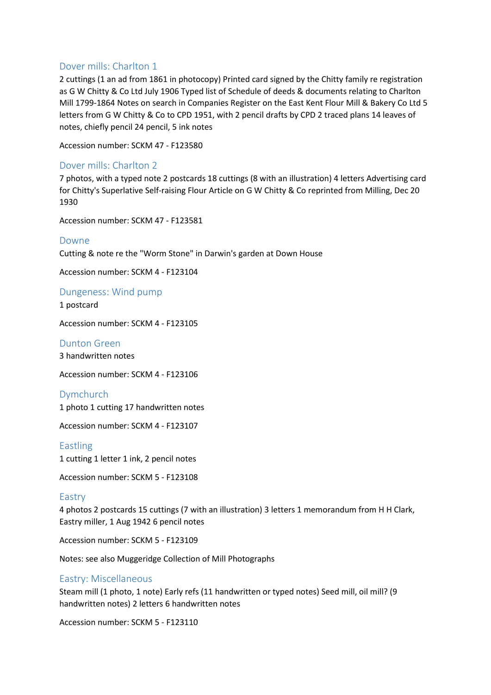## Dover mills: Charlton 1

2 cuttings (1 an ad from 1861 in photocopy) Printed card signed by the Chitty family re registration as G W Chitty & Co Ltd July 1906 Typed list of Schedule of deeds & documents relating to Charlton Mill 1799-1864 Notes on search in Companies Register on the East Kent Flour Mill & Bakery Co Ltd 5 letters from G W Chitty & Co to CPD 1951, with 2 pencil drafts by CPD 2 traced plans 14 leaves of notes, chiefly pencil 24 pencil, 5 ink notes

Accession number: SCKM 47 - F123580

## Dover mills: Charlton 2

7 photos, with a typed note 2 postcards 18 cuttings (8 with an illustration) 4 letters Advertising card for Chitty's Superlative Self-raising Flour Article on G W Chitty & Co reprinted from Milling, Dec 20 1930

Accession number: SCKM 47 - F123581

Downe

Cutting & note re the "Worm Stone" in Darwin's garden at Down House

Accession number: SCKM 4 - F123104

#### Dungeness: Wind pump

1 postcard

Accession number: SCKM 4 - F123105

Dunton Green 3 handwritten notes

Accession number: SCKM 4 - F123106

Dymchurch 1 photo 1 cutting 17 handwritten notes

Accession number: SCKM 4 - F123107

Eastling 1 cutting 1 letter 1 ink, 2 pencil notes

Accession number: SCKM 5 - F123108

#### Eastry

4 photos 2 postcards 15 cuttings (7 with an illustration) 3 letters 1 memorandum from H H Clark, Eastry miller, 1 Aug 1942 6 pencil notes

Accession number: SCKM 5 - F123109

Notes: see also Muggeridge Collection of Mill Photographs

#### Eastry: Miscellaneous

Steam mill (1 photo, 1 note) Early refs (11 handwritten or typed notes) Seed mill, oil mill? (9 handwritten notes) 2 letters 6 handwritten notes

Accession number: SCKM 5 - F123110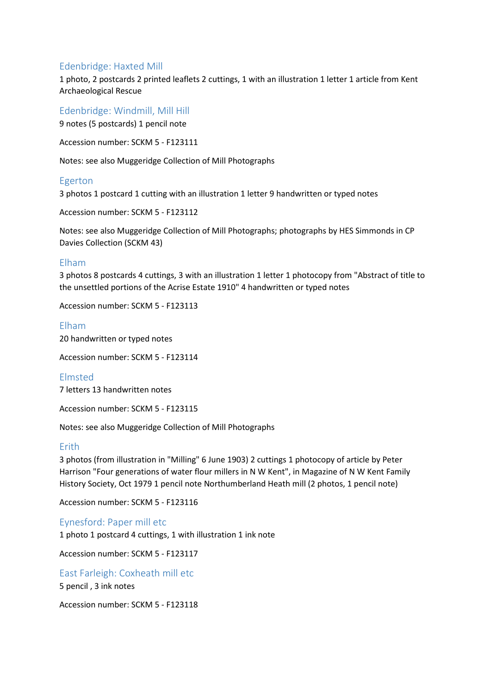## Edenbridge: Haxted Mill

1 photo, 2 postcards 2 printed leaflets 2 cuttings, 1 with an illustration 1 letter 1 article from Kent Archaeological Rescue

Edenbridge: Windmill, Mill Hill

9 notes (5 postcards) 1 pencil note

Accession number: SCKM 5 - F123111

Notes: see also Muggeridge Collection of Mill Photographs

## Egerton

3 photos 1 postcard 1 cutting with an illustration 1 letter 9 handwritten or typed notes

Accession number: SCKM 5 - F123112

Notes: see also Muggeridge Collection of Mill Photographs; photographs by HES Simmonds in CP Davies Collection (SCKM 43)

## Elham

3 photos 8 postcards 4 cuttings, 3 with an illustration 1 letter 1 photocopy from "Abstract of title to the unsettled portions of the Acrise Estate 1910" 4 handwritten or typed notes

Accession number: SCKM 5 - F123113

Elham 20 handwritten or typed notes

Accession number: SCKM 5 - F123114

Elmsted

7 letters 13 handwritten notes

Accession number: SCKM 5 - F123115

Notes: see also Muggeridge Collection of Mill Photographs

## Erith

3 photos (from illustration in "Milling" 6 June 1903) 2 cuttings 1 photocopy of article by Peter Harrison "Four generations of water flour millers in N W Kent", in Magazine of N W Kent Family History Society, Oct 1979 1 pencil note Northumberland Heath mill (2 photos, 1 pencil note)

Accession number: SCKM 5 - F123116

Eynesford: Paper mill etc

1 photo 1 postcard 4 cuttings, 1 with illustration 1 ink note

Accession number: SCKM 5 - F123117

East Farleigh: Coxheath mill etc 5 pencil , 3 ink notes

Accession number: SCKM 5 - F123118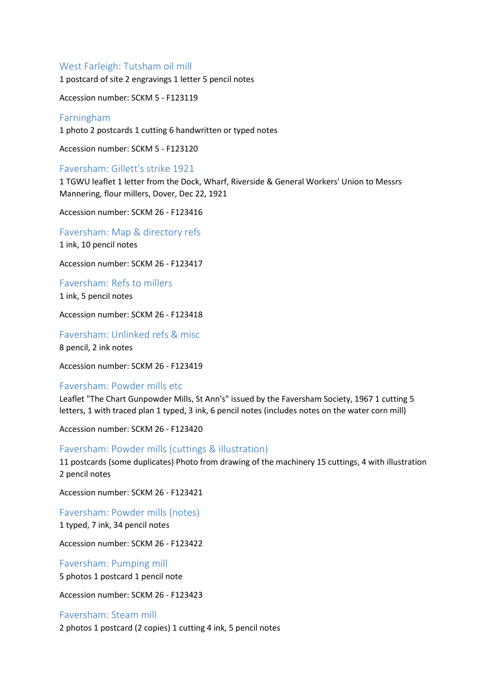## West Farleigh: Tutsham oil mill

1 postcard of site 2 engravings 1 letter 5 pencil notes

Accession number: SCKM 5 - F123119

#### Farningham

1 photo 2 postcards 1 cutting 6 handwritten or typed notes

Accession number: SCKM 5 - F123120

#### Faversham: Gillett's strike 1921

1 TGWU leaflet 1 letter from the Dock, Wharf, Riverside & General Workers' Union to Messrs Mannering, flour millers, Dover, Dec 22, 1921

Accession number: SCKM 26 - F123416

Faversham: Map & directory refs

1 ink, 10 pencil notes

Accession number: SCKM 26 - F123417

Faversham: Refs to millers 1 ink, 5 pencil notes

Accession number: SCKM 26 - F123418

Faversham: Unlinked refs & misc 8 pencil, 2 ink notes

Accession number: SCKM 26 - F123419

#### Faversham: Powder mills etc

Leaflet "The Chart Gunpowder Mills, St Ann's" issued by the Faversham Society, 1967 1 cutting 5 letters, 1 with traced plan 1 typed, 3 ink, 6 pencil notes (includes notes on the water corn mill)

Accession number: SCKM 26 - F123420

#### Faversham: Powder mills (cuttings & illustration)

11 postcards (some duplicates) Photo from drawing of the machinery 15 cuttings, 4 with illustration 2 pencil notes

Accession number: SCKM 26 - F123421

Faversham: Powder mills (notes) 1 typed, 7 ink, 34 pencil notes

Accession number: SCKM 26 - F123422

Faversham: Pumping mill 5 photos 1 postcard 1 pencil note

Accession number: SCKM 26 - F123423

#### Faversham: Steam mill

2 photos 1 postcard (2 copies) 1 cutting 4 ink, 5 pencil notes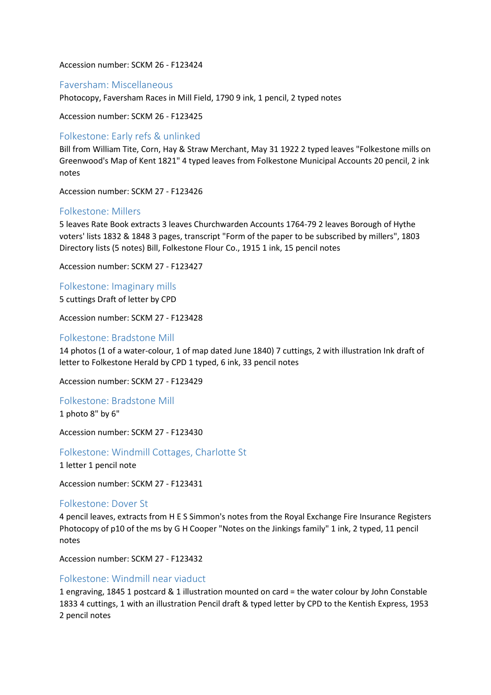Accession number: SCKM 26 - F123424

## Faversham: Miscellaneous

Photocopy, Faversham Races in Mill Field, 1790 9 ink, 1 pencil, 2 typed notes

Accession number: SCKM 26 - F123425

## Folkestone: Early refs & unlinked

Bill from William Tite, Corn, Hay & Straw Merchant, May 31 1922 2 typed leaves "Folkestone mills on Greenwood's Map of Kent 1821" 4 typed leaves from Folkestone Municipal Accounts 20 pencil, 2 ink notes

Accession number: SCKM 27 - F123426

## Folkestone: Millers

5 leaves Rate Book extracts 3 leaves Churchwarden Accounts 1764-79 2 leaves Borough of Hythe voters' lists 1832 & 1848 3 pages, transcript "Form of the paper to be subscribed by millers", 1803 Directory lists (5 notes) Bill, Folkestone Flour Co., 1915 1 ink, 15 pencil notes

Accession number: SCKM 27 - F123427

Folkestone: Imaginary mills 5 cuttings Draft of letter by CPD

Accession number: SCKM 27 - F123428

## Folkestone: Bradstone Mill

14 photos (1 of a water-colour, 1 of map dated June 1840) 7 cuttings, 2 with illustration Ink draft of letter to Folkestone Herald by CPD 1 typed, 6 ink, 33 pencil notes

Accession number: SCKM 27 - F123429

Folkestone: Bradstone Mill 1 photo 8" by 6"

Accession number: SCKM 27 - F123430

Folkestone: Windmill Cottages, Charlotte St

1 letter 1 pencil note

Accession number: SCKM 27 - F123431

#### Folkestone: Dover St

4 pencil leaves, extracts from H E S Simmon's notes from the Royal Exchange Fire Insurance Registers Photocopy of p10 of the ms by G H Cooper "Notes on the Jinkings family" 1 ink, 2 typed, 11 pencil notes

Accession number: SCKM 27 - F123432

## Folkestone: Windmill near viaduct

1 engraving, 1845 1 postcard & 1 illustration mounted on card = the water colour by John Constable 1833 4 cuttings, 1 with an illustration Pencil draft & typed letter by CPD to the Kentish Express, 1953 2 pencil notes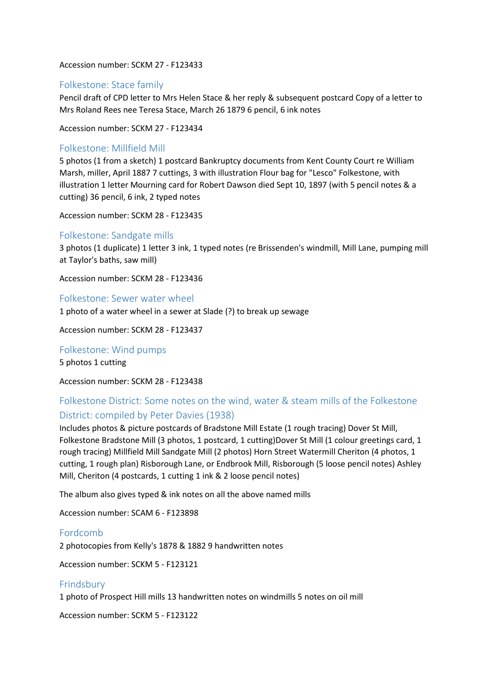Accession number: SCKM 27 - F123433

## Folkestone: Stace family

Pencil draft of CPD letter to Mrs Helen Stace & her reply & subsequent postcard Copy of a letter to Mrs Roland Rees nee Teresa Stace, March 26 1879 6 pencil, 6 ink notes

Accession number: SCKM 27 - F123434

## Folkestone: Millfield Mill

5 photos (1 from a sketch) 1 postcard Bankruptcy documents from Kent County Court re William Marsh, miller, April 1887 7 cuttings, 3 with illustration Flour bag for "Lesco" Folkestone, with illustration 1 letter Mourning card for Robert Dawson died Sept 10, 1897 (with 5 pencil notes & a cutting) 36 pencil, 6 ink, 2 typed notes

Accession number: SCKM 28 - F123435

## Folkestone: Sandgate mills

3 photos (1 duplicate) 1 letter 3 ink, 1 typed notes (re Brissenden's windmill, Mill Lane, pumping mill at Taylor's baths, saw mill)

Accession number: SCKM 28 - F123436

#### Folkestone: Sewer water wheel

1 photo of a water wheel in a sewer at Slade (?) to break up sewage

Accession number: SCKM 28 - F123437

#### Folkestone: Wind pumps

5 photos 1 cutting

Accession number: SCKM 28 - F123438

## Folkestone District: Some notes on the wind, water & steam mills of the Folkestone District: compiled by Peter Davies (1938)

Includes photos & picture postcards of Bradstone Mill Estate (1 rough tracing) Dover St Mill, Folkestone Bradstone Mill (3 photos, 1 postcard, 1 cutting)Dover St Mill (1 colour greetings card, 1 rough tracing) Millfield Mill Sandgate Mill (2 photos) Horn Street Watermill Cheriton (4 photos, 1 cutting, 1 rough plan) Risborough Lane, or Endbrook Mill, Risborough (5 loose pencil notes) Ashley Mill, Cheriton (4 postcards, 1 cutting 1 ink & 2 loose pencil notes)

The album also gives typed & ink notes on all the above named mills

Accession number: SCAM 6 - F123898

## Fordcomb

2 photocopies from Kelly's 1878 & 1882 9 handwritten notes

Accession number: SCKM 5 - F123121

## Frindsbury

1 photo of Prospect Hill mills 13 handwritten notes on windmills 5 notes on oil mill

Accession number: SCKM 5 - F123122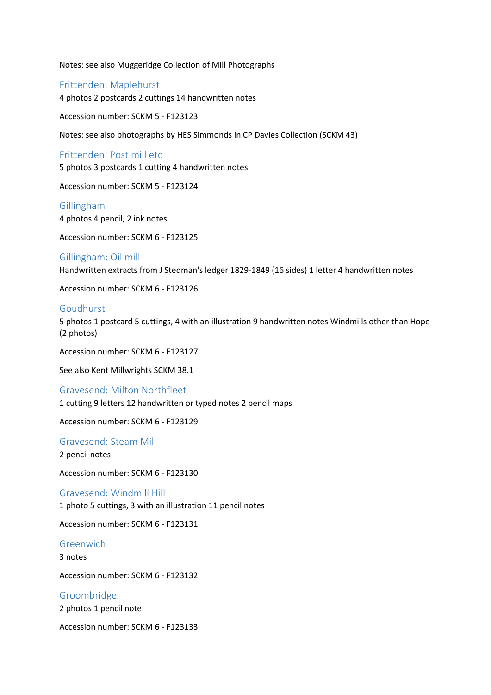Notes: see also Muggeridge Collection of Mill Photographs

Frittenden: Maplehurst 4 photos 2 postcards 2 cuttings 14 handwritten notes

Accession number: SCKM 5 - F123123

Notes: see also photographs by HES Simmonds in CP Davies Collection (SCKM 43)

Frittenden: Post mill etc

5 photos 3 postcards 1 cutting 4 handwritten notes

Accession number: SCKM 5 - F123124

Gillingham 4 photos 4 pencil, 2 ink notes

Accession number: SCKM 6 - F123125

Gillingham: Oil mill Handwritten extracts from J Stedman's ledger 1829-1849 (16 sides) 1 letter 4 handwritten notes

Accession number: SCKM 6 - F123126

#### Goudhurst

5 photos 1 postcard 5 cuttings, 4 with an illustration 9 handwritten notes Windmills other than Hope (2 photos)

Accession number: SCKM 6 - F123127

See also Kent Millwrights SCKM 38.1

#### Gravesend: Milton Northfleet

1 cutting 9 letters 12 handwritten or typed notes 2 pencil maps

Accession number: SCKM 6 - F123129

Gravesend: Steam Mill 2 pencil notes

Accession number: SCKM 6 - F123130

#### Gravesend: Windmill Hill

1 photo 5 cuttings, 3 with an illustration 11 pencil notes

Accession number: SCKM 6 - F123131

#### Greenwich

3 notes

Accession number: SCKM 6 - F123132

Groombridge

2 photos 1 pencil note

Accession number: SCKM 6 - F123133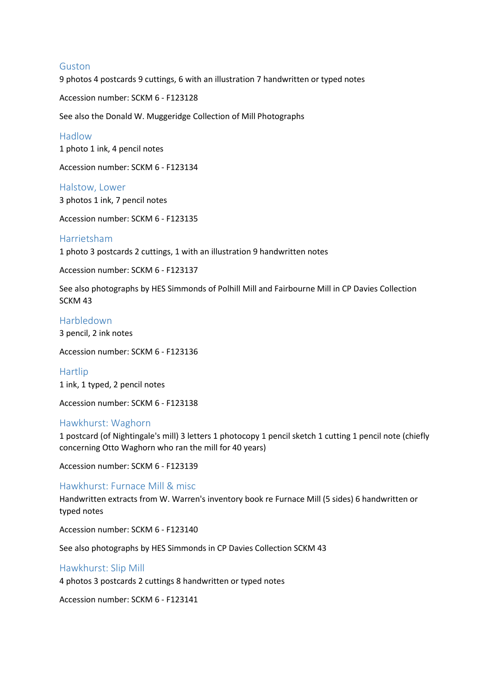#### Guston

9 photos 4 postcards 9 cuttings, 6 with an illustration 7 handwritten or typed notes

Accession number: SCKM 6 - F123128

See also the Donald W. Muggeridge Collection of Mill Photographs

Hadlow 1 photo 1 ink, 4 pencil notes

Accession number: SCKM 6 - F123134

Halstow, Lower 3 photos 1 ink, 7 pencil notes

Accession number: SCKM 6 - F123135

## Harrietsham

1 photo 3 postcards 2 cuttings, 1 with an illustration 9 handwritten notes

Accession number: SCKM 6 - F123137

See also photographs by HES Simmonds of Polhill Mill and Fairbourne Mill in CP Davies Collection SCKM 43

## Harbledown

3 pencil, 2 ink notes

Accession number: SCKM 6 - F123136

Hartlip 1 ink, 1 typed, 2 pencil notes

Accession number: SCKM 6 - F123138

#### Hawkhurst: Waghorn

1 postcard (of Nightingale's mill) 3 letters 1 photocopy 1 pencil sketch 1 cutting 1 pencil note (chiefly concerning Otto Waghorn who ran the mill for 40 years)

Accession number: SCKM 6 - F123139

#### Hawkhurst: Furnace Mill & misc

Handwritten extracts from W. Warren's inventory book re Furnace Mill (5 sides) 6 handwritten or typed notes

Accession number: SCKM 6 - F123140

See also photographs by HES Simmonds in CP Davies Collection SCKM 43

#### Hawkhurst: Slip Mill

4 photos 3 postcards 2 cuttings 8 handwritten or typed notes

Accession number: SCKM 6 - F123141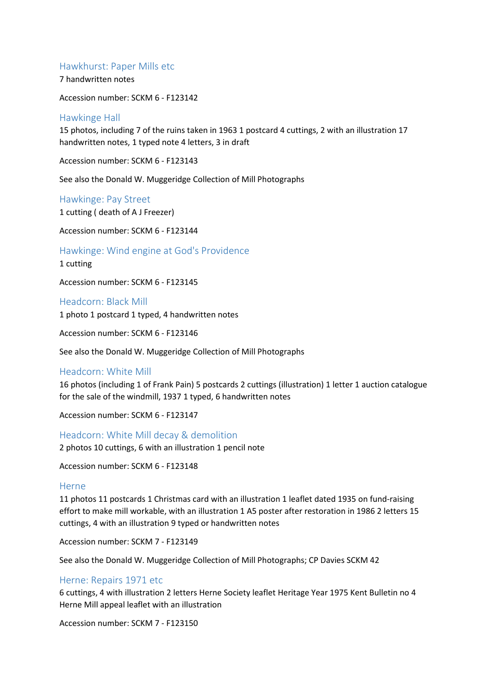## Hawkhurst: Paper Mills etc

7 handwritten notes

Accession number: SCKM 6 - F123142

## Hawkinge Hall

15 photos, including 7 of the ruins taken in 1963 1 postcard 4 cuttings, 2 with an illustration 17 handwritten notes, 1 typed note 4 letters, 3 in draft

Accession number: SCKM 6 - F123143

See also the Donald W. Muggeridge Collection of Mill Photographs

Hawkinge: Pay Street

1 cutting ( death of A J Freezer)

Accession number: SCKM 6 - F123144

Hawkinge: Wind engine at God's Providence

1 cutting

Accession number: SCKM 6 - F123145

Headcorn: Black Mill

1 photo 1 postcard 1 typed, 4 handwritten notes

Accession number: SCKM 6 - F123146

See also the Donald W. Muggeridge Collection of Mill Photographs

#### Headcorn: White Mill

16 photos (including 1 of Frank Pain) 5 postcards 2 cuttings (illustration) 1 letter 1 auction catalogue for the sale of the windmill, 1937 1 typed, 6 handwritten notes

Accession number: SCKM 6 - F123147

Headcorn: White Mill decay & demolition

2 photos 10 cuttings, 6 with an illustration 1 pencil note

Accession number: SCKM 6 - F123148

#### Herne

11 photos 11 postcards 1 Christmas card with an illustration 1 leaflet dated 1935 on fund-raising effort to make mill workable, with an illustration 1 A5 poster after restoration in 1986 2 letters 15 cuttings, 4 with an illustration 9 typed or handwritten notes

Accession number: SCKM 7 - F123149

See also the Donald W. Muggeridge Collection of Mill Photographs; CP Davies SCKM 42

#### Herne: Repairs 1971 etc

6 cuttings, 4 with illustration 2 letters Herne Society leaflet Heritage Year 1975 Kent Bulletin no 4 Herne Mill appeal leaflet with an illustration

Accession number: SCKM 7 - F123150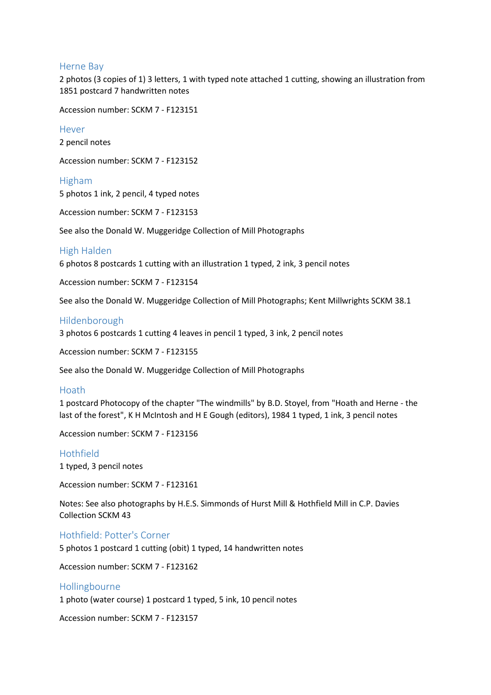#### Herne Bay

2 photos (3 copies of 1) 3 letters, 1 with typed note attached 1 cutting, showing an illustration from 1851 postcard 7 handwritten notes

Accession number: SCKM 7 - F123151

Hever

2 pencil notes

Accession number: SCKM 7 - F123152

Higham 5 photos 1 ink, 2 pencil, 4 typed notes

Accession number: SCKM 7 - F123153

See also the Donald W. Muggeridge Collection of Mill Photographs

#### High Halden

6 photos 8 postcards 1 cutting with an illustration 1 typed, 2 ink, 3 pencil notes

Accession number: SCKM 7 - F123154

See also the Donald W. Muggeridge Collection of Mill Photographs; Kent Millwrights SCKM 38.1

#### Hildenborough

3 photos 6 postcards 1 cutting 4 leaves in pencil 1 typed, 3 ink, 2 pencil notes

Accession number: SCKM 7 - F123155

See also the Donald W. Muggeridge Collection of Mill Photographs

## Hoath

1 postcard Photocopy of the chapter "The windmills" by B.D. Stoyel, from "Hoath and Herne - the last of the forest", K H McIntosh and H E Gough (editors), 1984 1 typed, 1 ink, 3 pencil notes

Accession number: SCKM 7 - F123156

#### Hothfield

1 typed, 3 pencil notes

Accession number: SCKM 7 - F123161

Notes: See also photographs by H.E.S. Simmonds of Hurst Mill & Hothfield Mill in C.P. Davies Collection SCKM 43

Hothfield: Potter's Corner

5 photos 1 postcard 1 cutting (obit) 1 typed, 14 handwritten notes

Accession number: SCKM 7 - F123162

#### Hollingbourne

1 photo (water course) 1 postcard 1 typed, 5 ink, 10 pencil notes

Accession number: SCKM 7 - F123157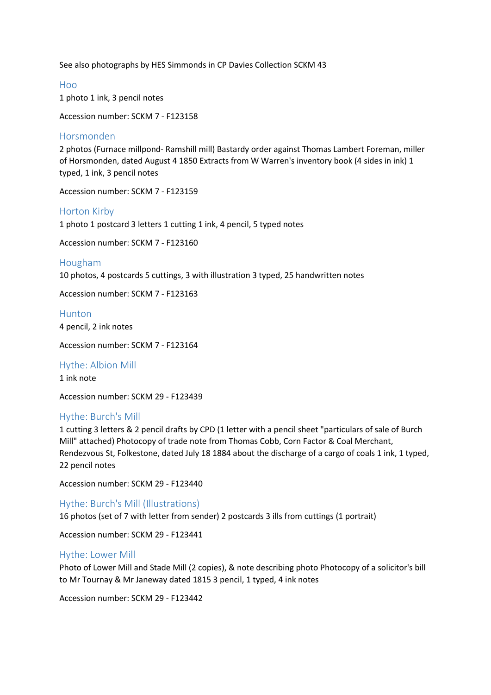See also photographs by HES Simmonds in CP Davies Collection SCKM 43

Hoo 1 photo 1 ink, 3 pencil notes

Accession number: SCKM 7 - F123158

## Horsmonden

2 photos (Furnace millpond- Ramshill mill) Bastardy order against Thomas Lambert Foreman, miller of Horsmonden, dated August 4 1850 Extracts from W Warren's inventory book (4 sides in ink) 1 typed, 1 ink, 3 pencil notes

Accession number: SCKM 7 - F123159

## Horton Kirby

1 photo 1 postcard 3 letters 1 cutting 1 ink, 4 pencil, 5 typed notes

Accession number: SCKM 7 - F123160

#### Hougham

10 photos, 4 postcards 5 cuttings, 3 with illustration 3 typed, 25 handwritten notes

Accession number: SCKM 7 - F123163

Hunton 4 pencil, 2 ink notes

Accession number: SCKM 7 - F123164

Hythe: Albion Mill 1 ink note

Accession number: SCKM 29 - F123439

#### Hythe: Burch's Mill

1 cutting 3 letters & 2 pencil drafts by CPD (1 letter with a pencil sheet "particulars of sale of Burch Mill" attached) Photocopy of trade note from Thomas Cobb, Corn Factor & Coal Merchant, Rendezvous St, Folkestone, dated July 18 1884 about the discharge of a cargo of coals 1 ink, 1 typed, 22 pencil notes

Accession number: SCKM 29 - F123440

Hythe: Burch's Mill (Illustrations)

16 photos (set of 7 with letter from sender) 2 postcards 3 ills from cuttings (1 portrait)

Accession number: SCKM 29 - F123441

#### Hythe: Lower Mill

Photo of Lower Mill and Stade Mill (2 copies), & note describing photo Photocopy of a solicitor's bill to Mr Tournay & Mr Janeway dated 1815 3 pencil, 1 typed, 4 ink notes

Accession number: SCKM 29 - F123442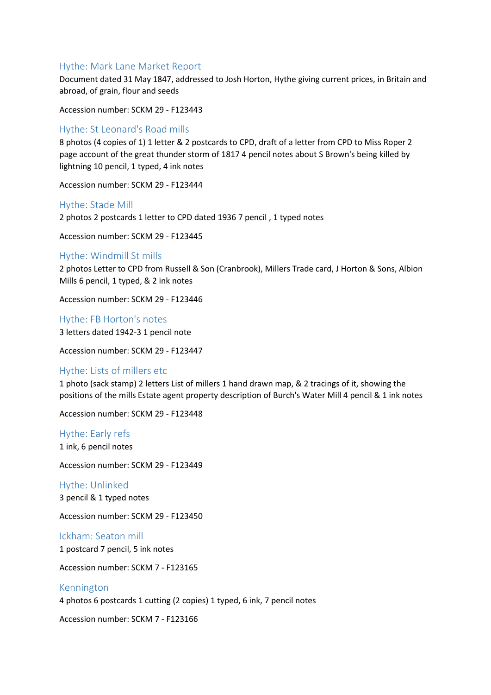## Hythe: Mark Lane Market Report

Document dated 31 May 1847, addressed to Josh Horton, Hythe giving current prices, in Britain and abroad, of grain, flour and seeds

Accession number: SCKM 29 - F123443

## Hythe: St Leonard's Road mills

8 photos (4 copies of 1) 1 letter & 2 postcards to CPD, draft of a letter from CPD to Miss Roper 2 page account of the great thunder storm of 1817 4 pencil notes about S Brown's being killed by lightning 10 pencil, 1 typed, 4 ink notes

Accession number: SCKM 29 - F123444

#### Hythe: Stade Mill

2 photos 2 postcards 1 letter to CPD dated 1936 7 pencil , 1 typed notes

Accession number: SCKM 29 - F123445

#### Hythe: Windmill St mills

2 photos Letter to CPD from Russell & Son (Cranbrook), Millers Trade card, J Horton & Sons, Albion Mills 6 pencil, 1 typed, & 2 ink notes

Accession number: SCKM 29 - F123446

Hythe: FB Horton's notes 3 letters dated 1942-3 1 pencil note

Accession number: SCKM 29 - F123447

## Hythe: Lists of millers etc

1 photo (sack stamp) 2 letters List of millers 1 hand drawn map, & 2 tracings of it, showing the positions of the mills Estate agent property description of Burch's Water Mill 4 pencil & 1 ink notes

Accession number: SCKM 29 - F123448

Hythe: Early refs 1 ink, 6 pencil notes

Accession number: SCKM 29 - F123449

Hythe: Unlinked 3 pencil & 1 typed notes

Accession number: SCKM 29 - F123450

Ickham: Seaton mill 1 postcard 7 pencil, 5 ink notes

Accession number: SCKM 7 - F123165

## Kennington

4 photos 6 postcards 1 cutting (2 copies) 1 typed, 6 ink, 7 pencil notes

Accession number: SCKM 7 - F123166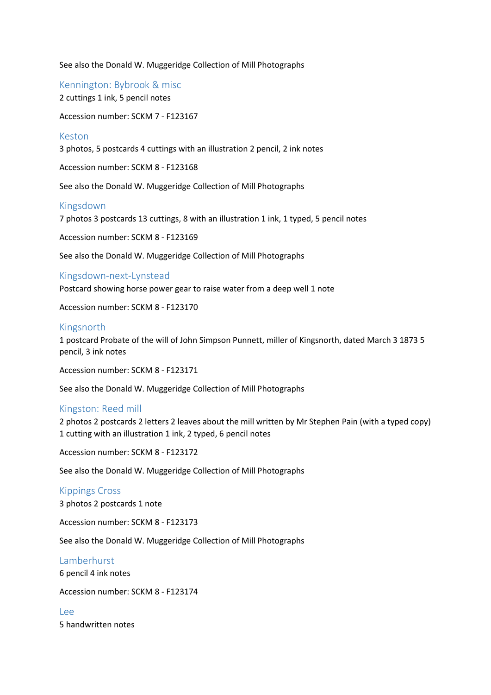See also the Donald W. Muggeridge Collection of Mill Photographs

Kennington: Bybrook & misc 2 cuttings 1 ink, 5 pencil notes

Accession number: SCKM 7 - F123167

#### Keston

3 photos, 5 postcards 4 cuttings with an illustration 2 pencil, 2 ink notes

Accession number: SCKM 8 - F123168

See also the Donald W. Muggeridge Collection of Mill Photographs

#### Kingsdown

7 photos 3 postcards 13 cuttings, 8 with an illustration 1 ink, 1 typed, 5 pencil notes

Accession number: SCKM 8 - F123169

See also the Donald W. Muggeridge Collection of Mill Photographs

## Kingsdown-next-Lynstead

Postcard showing horse power gear to raise water from a deep well 1 note

Accession number: SCKM 8 - F123170

#### Kingsnorth

1 postcard Probate of the will of John Simpson Punnett, miller of Kingsnorth, dated March 3 1873 5 pencil, 3 ink notes

Accession number: SCKM 8 - F123171

See also the Donald W. Muggeridge Collection of Mill Photographs

#### Kingston: Reed mill

2 photos 2 postcards 2 letters 2 leaves about the mill written by Mr Stephen Pain (with a typed copy) 1 cutting with an illustration 1 ink, 2 typed, 6 pencil notes

Accession number: SCKM 8 - F123172

See also the Donald W. Muggeridge Collection of Mill Photographs

#### Kippings Cross

3 photos 2 postcards 1 note

Accession number: SCKM 8 - F123173

See also the Donald W. Muggeridge Collection of Mill Photographs

## Lamberhurst

6 pencil 4 ink notes

Accession number: SCKM 8 - F123174

Lee 5 handwritten notes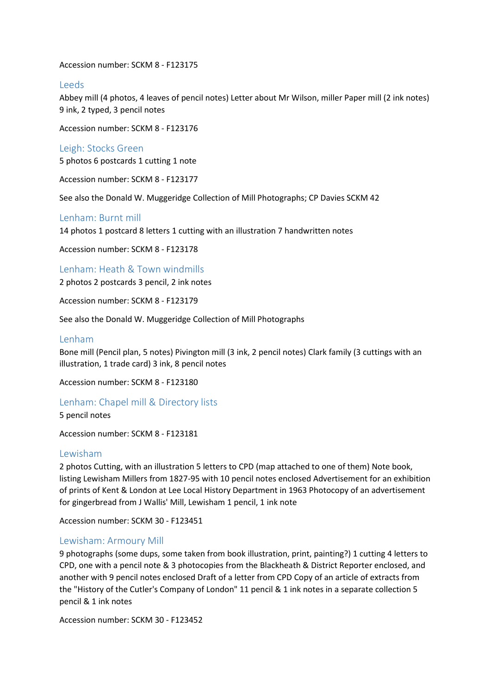Accession number: SCKM 8 - F123175

## Leeds

Abbey mill (4 photos, 4 leaves of pencil notes) Letter about Mr Wilson, miller Paper mill (2 ink notes) 9 ink, 2 typed, 3 pencil notes

Accession number: SCKM 8 - F123176

#### Leigh: Stocks Green

5 photos 6 postcards 1 cutting 1 note

Accession number: SCKM 8 - F123177

See also the Donald W. Muggeridge Collection of Mill Photographs; CP Davies SCKM 42

## Lenham: Burnt mill

14 photos 1 postcard 8 letters 1 cutting with an illustration 7 handwritten notes

Accession number: SCKM 8 - F123178

Lenham: Heath & Town windmills

2 photos 2 postcards 3 pencil, 2 ink notes

Accession number: SCKM 8 - F123179

See also the Donald W. Muggeridge Collection of Mill Photographs

#### Lenham

Bone mill (Pencil plan, 5 notes) Pivington mill (3 ink, 2 pencil notes) Clark family (3 cuttings with an illustration, 1 trade card) 3 ink, 8 pencil notes

Accession number: SCKM 8 - F123180

## Lenham: Chapel mill & Directory lists

5 pencil notes

Accession number: SCKM 8 - F123181

#### Lewisham

2 photos Cutting, with an illustration 5 letters to CPD (map attached to one of them) Note book, listing Lewisham Millers from 1827-95 with 10 pencil notes enclosed Advertisement for an exhibition of prints of Kent & London at Lee Local History Department in 1963 Photocopy of an advertisement for gingerbread from J Wallis' Mill, Lewisham 1 pencil, 1 ink note

Accession number: SCKM 30 - F123451

#### Lewisham: Armoury Mill

9 photographs (some dups, some taken from book illustration, print, painting?) 1 cutting 4 letters to CPD, one with a pencil note & 3 photocopies from the Blackheath & District Reporter enclosed, and another with 9 pencil notes enclosed Draft of a letter from CPD Copy of an article of extracts from the "History of the Cutler's Company of London" 11 pencil & 1 ink notes in a separate collection 5 pencil & 1 ink notes

Accession number: SCKM 30 - F123452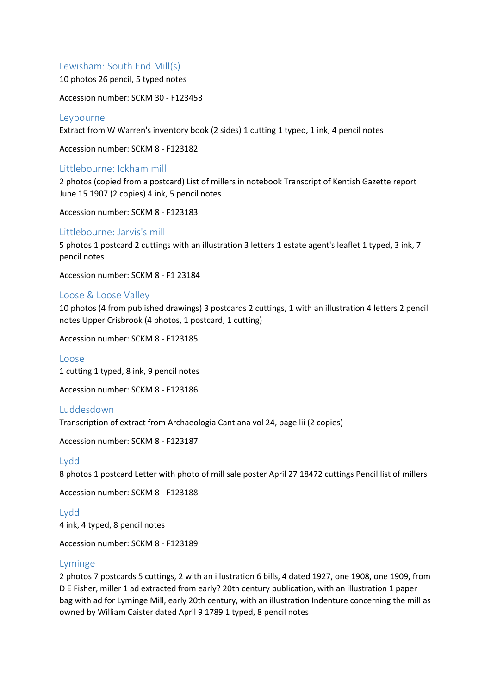## Lewisham: South End Mill(s)

10 photos 26 pencil, 5 typed notes

Accession number: SCKM 30 - F123453

## Leybourne

Extract from W Warren's inventory book (2 sides) 1 cutting 1 typed, 1 ink, 4 pencil notes

Accession number: SCKM 8 - F123182

## Littlebourne: Ickham mill

2 photos (copied from a postcard) List of millers in notebook Transcript of Kentish Gazette report June 15 1907 (2 copies) 4 ink, 5 pencil notes

Accession number: SCKM 8 - F123183

## Littlebourne: Jarvis's mill

5 photos 1 postcard 2 cuttings with an illustration 3 letters 1 estate agent's leaflet 1 typed, 3 ink, 7 pencil notes

Accession number: SCKM 8 - F1 23184

## Loose & Loose Valley

10 photos (4 from published drawings) 3 postcards 2 cuttings, 1 with an illustration 4 letters 2 pencil notes Upper Crisbrook (4 photos, 1 postcard, 1 cutting)

Accession number: SCKM 8 - F123185

Loose

1 cutting 1 typed, 8 ink, 9 pencil notes

Accession number: SCKM 8 - F123186

## Luddesdown

Transcription of extract from Archaeologia Cantiana vol 24, page lii (2 copies)

Accession number: SCKM 8 - F123187

## Lydd

8 photos 1 postcard Letter with photo of mill sale poster April 27 18472 cuttings Pencil list of millers

Accession number: SCKM 8 - F123188

Lydd 4 ink, 4 typed, 8 pencil notes

Accession number: SCKM 8 - F123189

## Lyminge

2 photos 7 postcards 5 cuttings, 2 with an illustration 6 bills, 4 dated 1927, one 1908, one 1909, from D E Fisher, miller 1 ad extracted from early? 20th century publication, with an illustration 1 paper bag with ad for Lyminge Mill, early 20th century, with an illustration Indenture concerning the mill as owned by William Caister dated April 9 1789 1 typed, 8 pencil notes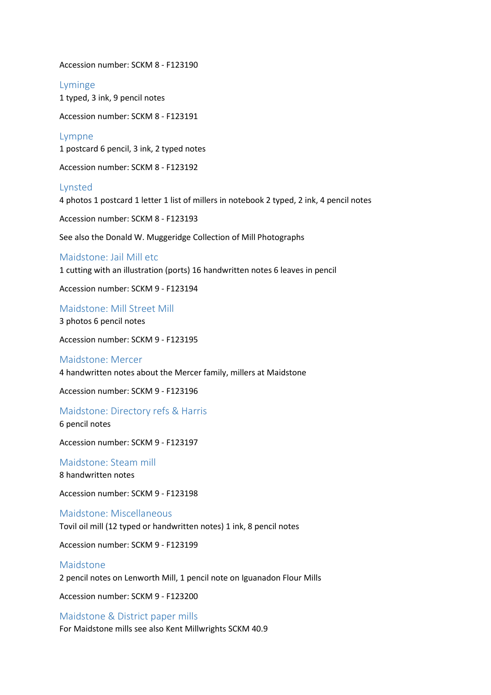Accession number: SCKM 8 - F123190

Lyminge 1 typed, 3 ink, 9 pencil notes

Accession number: SCKM 8 - F123191

Lympne 1 postcard 6 pencil, 3 ink, 2 typed notes

Accession number: SCKM 8 - F123192

#### Lynsted

4 photos 1 postcard 1 letter 1 list of millers in notebook 2 typed, 2 ink, 4 pencil notes

Accession number: SCKM 8 - F123193

See also the Donald W. Muggeridge Collection of Mill Photographs

#### Maidstone: Jail Mill etc

1 cutting with an illustration (ports) 16 handwritten notes 6 leaves in pencil

Accession number: SCKM 9 - F123194

Maidstone: Mill Street Mill 3 photos 6 pencil notes

Accession number: SCKM 9 - F123195

#### Maidstone: Mercer

4 handwritten notes about the Mercer family, millers at Maidstone

Accession number: SCKM 9 - F123196

#### Maidstone: Directory refs & Harris

6 pencil notes

Accession number: SCKM 9 - F123197

Maidstone: Steam mill 8 handwritten notes

Accession number: SCKM 9 - F123198

# Maidstone: Miscellaneous

Tovil oil mill (12 typed or handwritten notes) 1 ink, 8 pencil notes

Accession number: SCKM 9 - F123199

## Maidstone

2 pencil notes on Lenworth Mill, 1 pencil note on Iguanadon Flour Mills

Accession number: SCKM 9 - F123200

## Maidstone & District paper mills

For Maidstone mills see also Kent Millwrights SCKM 40.9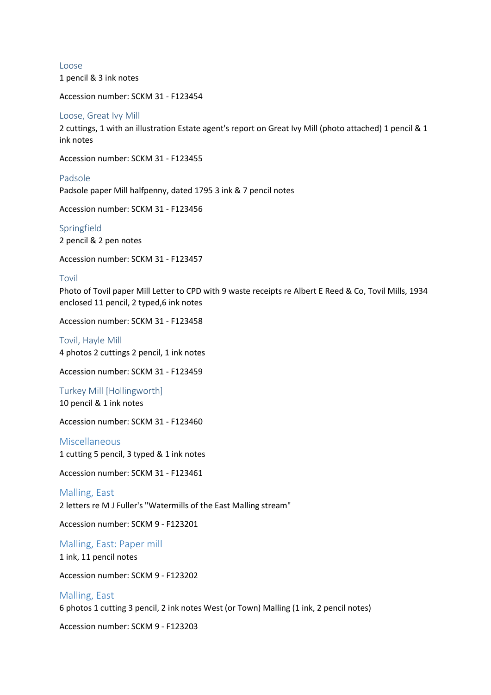Loose 1 pencil & 3 ink notes

Accession number: SCKM 31 - F123454

#### Loose, Great Ivy Mill

2 cuttings, 1 with an illustration Estate agent's report on Great Ivy Mill (photo attached) 1 pencil & 1 ink notes

Accession number: SCKM 31 - F123455

Padsole

Padsole paper Mill halfpenny, dated 1795 3 ink & 7 pencil notes

Accession number: SCKM 31 - F123456

Springfield 2 pencil & 2 pen notes

Accession number: SCKM 31 - F123457

#### Tovil

Photo of Tovil paper Mill Letter to CPD with 9 waste receipts re Albert E Reed & Co, Tovil Mills, 1934 enclosed 11 pencil, 2 typed,6 ink notes

Accession number: SCKM 31 - F123458

Tovil, Hayle Mill 4 photos 2 cuttings 2 pencil, 1 ink notes

Accession number: SCKM 31 - F123459

Turkey Mill [Hollingworth] 10 pencil & 1 ink notes

Accession number: SCKM 31 - F123460

Miscellaneous 1 cutting 5 pencil, 3 typed & 1 ink notes

Accession number: SCKM 31 - F123461

Malling, East

2 letters re M J Fuller's "Watermills of the East Malling stream"

Accession number: SCKM 9 - F123201

Malling, East: Paper mill 1 ink, 11 pencil notes

Accession number: SCKM 9 - F123202

#### Malling, East

6 photos 1 cutting 3 pencil, 2 ink notes West (or Town) Malling (1 ink, 2 pencil notes)

Accession number: SCKM 9 - F123203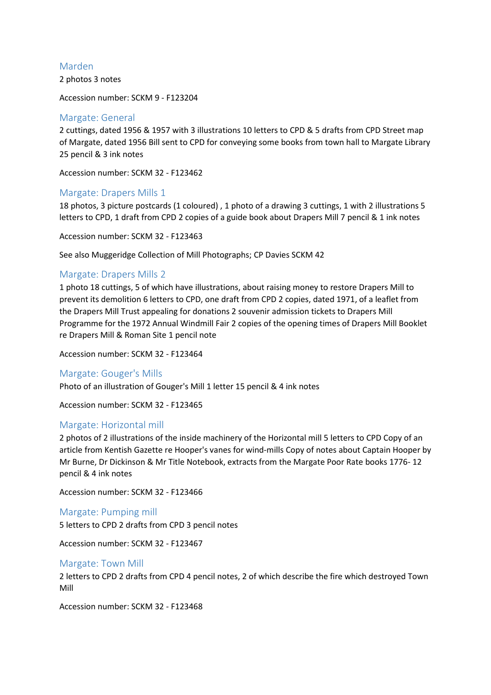## Marden

2 photos 3 notes

Accession number: SCKM 9 - F123204

## Margate: General

2 cuttings, dated 1956 & 1957 with 3 illustrations 10 letters to CPD & 5 drafts from CPD Street map of Margate, dated 1956 Bill sent to CPD for conveying some books from town hall to Margate Library 25 pencil & 3 ink notes

Accession number: SCKM 32 - F123462

## Margate: Drapers Mills 1

18 photos, 3 picture postcards (1 coloured) , 1 photo of a drawing 3 cuttings, 1 with 2 illustrations 5 letters to CPD, 1 draft from CPD 2 copies of a guide book about Drapers Mill 7 pencil & 1 ink notes

Accession number: SCKM 32 - F123463

See also Muggeridge Collection of Mill Photographs; CP Davies SCKM 42

## Margate: Drapers Mills 2

1 photo 18 cuttings, 5 of which have illustrations, about raising money to restore Drapers Mill to prevent its demolition 6 letters to CPD, one draft from CPD 2 copies, dated 1971, of a leaflet from the Drapers Mill Trust appealing for donations 2 souvenir admission tickets to Drapers Mill Programme for the 1972 Annual Windmill Fair 2 copies of the opening times of Drapers Mill Booklet re Drapers Mill & Roman Site 1 pencil note

Accession number: SCKM 32 - F123464

#### Margate: Gouger's Mills

Photo of an illustration of Gouger's Mill 1 letter 15 pencil & 4 ink notes

Accession number: SCKM 32 - F123465

#### Margate: Horizontal mill

2 photos of 2 illustrations of the inside machinery of the Horizontal mill 5 letters to CPD Copy of an article from Kentish Gazette re Hooper's vanes for wind-mills Copy of notes about Captain Hooper by Mr Burne, Dr Dickinson & Mr Title Notebook, extracts from the Margate Poor Rate books 1776- 12 pencil & 4 ink notes

Accession number: SCKM 32 - F123466

#### Margate: Pumping mill

5 letters to CPD 2 drafts from CPD 3 pencil notes

Accession number: SCKM 32 - F123467

#### Margate: Town Mill

2 letters to CPD 2 drafts from CPD 4 pencil notes, 2 of which describe the fire which destroyed Town Mill

Accession number: SCKM 32 - F123468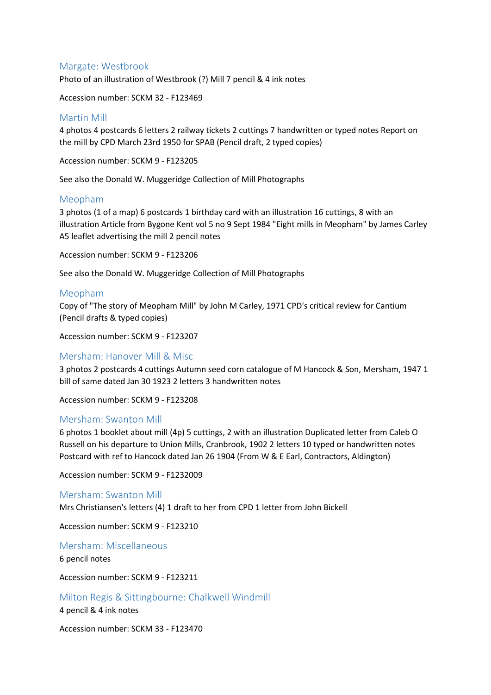## Margate: Westbrook

Photo of an illustration of Westbrook (?) Mill 7 pencil & 4 ink notes

Accession number: SCKM 32 - F123469

## Martin Mill

4 photos 4 postcards 6 letters 2 railway tickets 2 cuttings 7 handwritten or typed notes Report on the mill by CPD March 23rd 1950 for SPAB (Pencil draft, 2 typed copies)

Accession number: SCKM 9 - F123205

See also the Donald W. Muggeridge Collection of Mill Photographs

## Meopham

3 photos (1 of a map) 6 postcards 1 birthday card with an illustration 16 cuttings, 8 with an illustration Article from Bygone Kent vol 5 no 9 Sept 1984 "Eight mills in Meopham" by James Carley A5 leaflet advertising the mill 2 pencil notes

Accession number: SCKM 9 - F123206

See also the Donald W. Muggeridge Collection of Mill Photographs

## Meopham

Copy of "The story of Meopham Mill" by John M Carley, 1971 CPD's critical review for Cantium (Pencil drafts & typed copies)

Accession number: SCKM 9 - F123207

## Mersham: Hanover Mill & Misc

3 photos 2 postcards 4 cuttings Autumn seed corn catalogue of M Hancock & Son, Mersham, 1947 1 bill of same dated Jan 30 1923 2 letters 3 handwritten notes

Accession number: SCKM 9 - F123208

#### Mersham: Swanton Mill

6 photos 1 booklet about mill (4p) 5 cuttings, 2 with an illustration Duplicated letter from Caleb O Russell on his departure to Union Mills, Cranbrook, 1902 2 letters 10 typed or handwritten notes Postcard with ref to Hancock dated Jan 26 1904 (From W & E Earl, Contractors, Aldington)

Accession number: SCKM 9 - F1232009

#### Mersham: Swanton Mill

Mrs Christiansen's letters (4) 1 draft to her from CPD 1 letter from John Bickell

Accession number: SCKM 9 - F123210

Mersham: Miscellaneous

6 pencil notes

Accession number: SCKM 9 - F123211

Milton Regis & Sittingbourne: Chalkwell Windmill

4 pencil & 4 ink notes

Accession number: SCKM 33 - F123470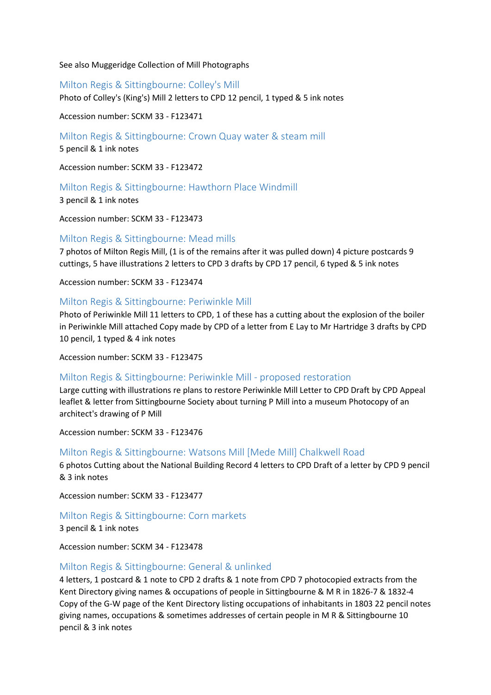See also Muggeridge Collection of Mill Photographs

Milton Regis & Sittingbourne: Colley's Mill

Photo of Colley's (King's) Mill 2 letters to CPD 12 pencil, 1 typed & 5 ink notes

Accession number: SCKM 33 - F123471

Milton Regis & Sittingbourne: Crown Quay water & steam mill

5 pencil & 1 ink notes

Accession number: SCKM 33 - F123472

Milton Regis & Sittingbourne: Hawthorn Place Windmill

3 pencil & 1 ink notes

Accession number: SCKM 33 - F123473

## Milton Regis & Sittingbourne: Mead mills

7 photos of Milton Regis Mill, (1 is of the remains after it was pulled down) 4 picture postcards 9 cuttings, 5 have illustrations 2 letters to CPD 3 drafts by CPD 17 pencil, 6 typed & 5 ink notes

Accession number: SCKM 33 - F123474

## Milton Regis & Sittingbourne: Periwinkle Mill

Photo of Periwinkle Mill 11 letters to CPD, 1 of these has a cutting about the explosion of the boiler in Periwinkle Mill attached Copy made by CPD of a letter from E Lay to Mr Hartridge 3 drafts by CPD 10 pencil, 1 typed & 4 ink notes

Accession number: SCKM 33 - F123475

#### Milton Regis & Sittingbourne: Periwinkle Mill - proposed restoration

Large cutting with illustrations re plans to restore Periwinkle Mill Letter to CPD Draft by CPD Appeal leaflet & letter from Sittingbourne Society about turning P Mill into a museum Photocopy of an architect's drawing of P Mill

Accession number: SCKM 33 - F123476

#### Milton Regis & Sittingbourne: Watsons Mill [Mede Mill] Chalkwell Road

6 photos Cutting about the National Building Record 4 letters to CPD Draft of a letter by CPD 9 pencil & 3 ink notes

Accession number: SCKM 33 - F123477

Milton Regis & Sittingbourne: Corn markets 3 pencil & 1 ink notes

Accession number: SCKM 34 - F123478

## Milton Regis & Sittingbourne: General & unlinked

4 letters, 1 postcard & 1 note to CPD 2 drafts & 1 note from CPD 7 photocopied extracts from the Kent Directory giving names & occupations of people in Sittingbourne & M R in 1826-7 & 1832-4 Copy of the G-W page of the Kent Directory listing occupations of inhabitants in 1803 22 pencil notes giving names, occupations & sometimes addresses of certain people in M R & Sittingbourne 10 pencil & 3 ink notes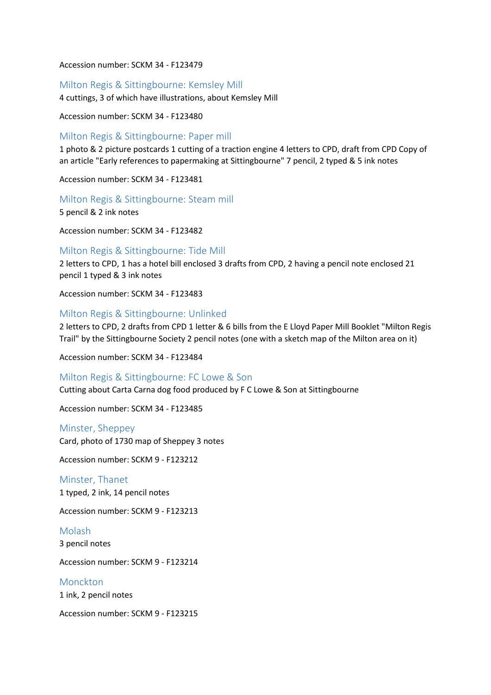Accession number: SCKM 34 - F123479

## Milton Regis & Sittingbourne: Kemsley Mill

4 cuttings, 3 of which have illustrations, about Kemsley Mill

Accession number: SCKM 34 - F123480

## Milton Regis & Sittingbourne: Paper mill

1 photo & 2 picture postcards 1 cutting of a traction engine 4 letters to CPD, draft from CPD Copy of an article "Early references to papermaking at Sittingbourne" 7 pencil, 2 typed & 5 ink notes

Accession number: SCKM 34 - F123481

Milton Regis & Sittingbourne: Steam mill

5 pencil & 2 ink notes

Accession number: SCKM 34 - F123482

## Milton Regis & Sittingbourne: Tide Mill

2 letters to CPD, 1 has a hotel bill enclosed 3 drafts from CPD, 2 having a pencil note enclosed 21 pencil 1 typed & 3 ink notes

Accession number: SCKM 34 - F123483

## Milton Regis & Sittingbourne: Unlinked

2 letters to CPD, 2 drafts from CPD 1 letter & 6 bills from the E Lloyd Paper Mill Booklet "Milton Regis Trail" by the Sittingbourne Society 2 pencil notes (one with a sketch map of the Milton area on it)

Accession number: SCKM 34 - F123484

#### Milton Regis & Sittingbourne: FC Lowe & Son

Cutting about Carta Carna dog food produced by F C Lowe & Son at Sittingbourne

Accession number: SCKM 34 - F123485

Minster, Sheppey Card, photo of 1730 map of Sheppey 3 notes

Accession number: SCKM 9 - F123212

Minster, Thanet 1 typed, 2 ink, 14 pencil notes

Accession number: SCKM 9 - F123213

Molash 3 pencil notes

Accession number: SCKM 9 - F123214

Monckton 1 ink, 2 pencil notes

Accession number: SCKM 9 - F123215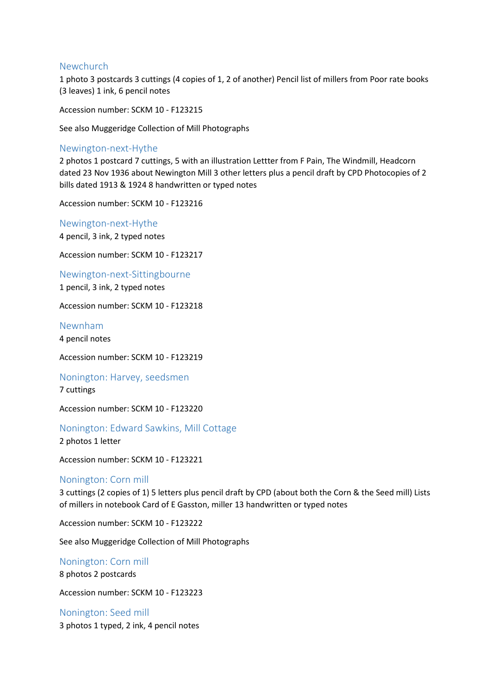## Newchurch

1 photo 3 postcards 3 cuttings (4 copies of 1, 2 of another) Pencil list of millers from Poor rate books (3 leaves) 1 ink, 6 pencil notes

Accession number: SCKM 10 - F123215

See also Muggeridge Collection of Mill Photographs

#### Newington-next-Hythe

2 photos 1 postcard 7 cuttings, 5 with an illustration Lettter from F Pain, The Windmill, Headcorn dated 23 Nov 1936 about Newington Mill 3 other letters plus a pencil draft by CPD Photocopies of 2 bills dated 1913 & 1924 8 handwritten or typed notes

Accession number: SCKM 10 - F123216

Newington-next-Hythe 4 pencil, 3 ink, 2 typed notes

Accession number: SCKM 10 - F123217

Newington-next-Sittingbourne

1 pencil, 3 ink, 2 typed notes

Accession number: SCKM 10 - F123218

Newnham

4 pencil notes

Accession number: SCKM 10 - F123219

#### Nonington: Harvey, seedsmen

7 cuttings

Accession number: SCKM 10 - F123220

#### Nonington: Edward Sawkins, Mill Cottage

2 photos 1 letter

Accession number: SCKM 10 - F123221

#### Nonington: Corn mill

3 cuttings (2 copies of 1) 5 letters plus pencil draft by CPD (about both the Corn & the Seed mill) Lists of millers in notebook Card of E Gasston, miller 13 handwritten or typed notes

Accession number: SCKM 10 - F123222

See also Muggeridge Collection of Mill Photographs

Nonington: Corn mill

8 photos 2 postcards

Accession number: SCKM 10 - F123223

Nonington: Seed mill 3 photos 1 typed, 2 ink, 4 pencil notes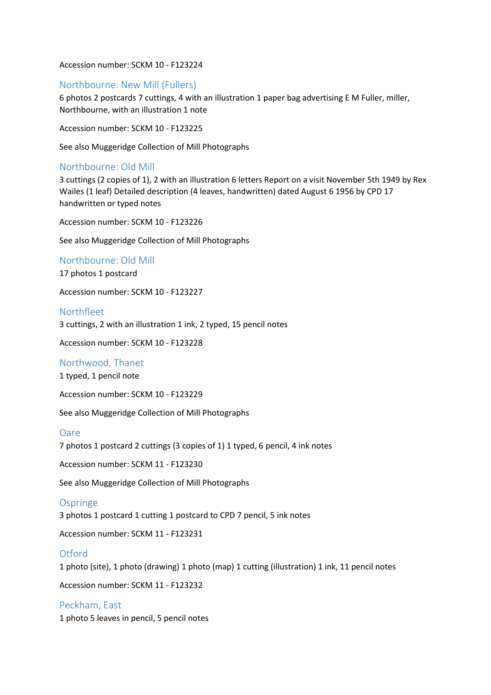Accession number: SCKM 10 - F123224

## Northbourne: New Mill (Fullers)

6 photos 2 postcards 7 cuttings, 4 with an illustration 1 paper bag advertising E M Fuller, miller, Northbourne, with an illustration 1 note

Accession number: SCKM 10 - F123225

See also Muggeridge Collection of Mill Photographs

## Northbourne: Old Mill

3 cuttings (2 copies of 1), 2 with an illustration 6 letters Report on a visit November 5th 1949 by Rex Wailes (1 leaf) Detailed description (4 leaves, handwritten) dated August 6 1956 by CPD 17 handwritten or typed notes

Accession number: SCKM 10 - F123226

See also Muggeridge Collection of Mill Photographs

#### Northbourne: Old Mill

17 photos 1 postcard

Accession number: SCKM 10 - F123227

## Northfleet

3 cuttings, 2 with an illustration 1 ink, 2 typed, 15 pencil notes

Accession number: SCKM 10 - F123228

#### Northwood, Thanet

1 typed, 1 pencil note

Accession number: SCKM 10 - F123229

See also Muggeridge Collection of Mill Photographs

#### Oare

7 photos 1 postcard 2 cuttings (3 copies of 1) 1 typed, 6 pencil, 4 ink notes

Accession number: SCKM 11 - F123230

See also Muggeridge Collection of Mill Photographs

#### **Ospringe**

3 photos 1 postcard 1 cutting 1 postcard to CPD 7 pencil, 5 ink notes

Accession number: SCKM 11 - F123231

#### **Otford**

1 photo (site), 1 photo (drawing) 1 photo (map) 1 cutting (illustration) 1 ink, 11 pencil notes

Accession number: SCKM 11 - F123232

Peckham, East 1 photo 5 leaves in pencil, 5 pencil notes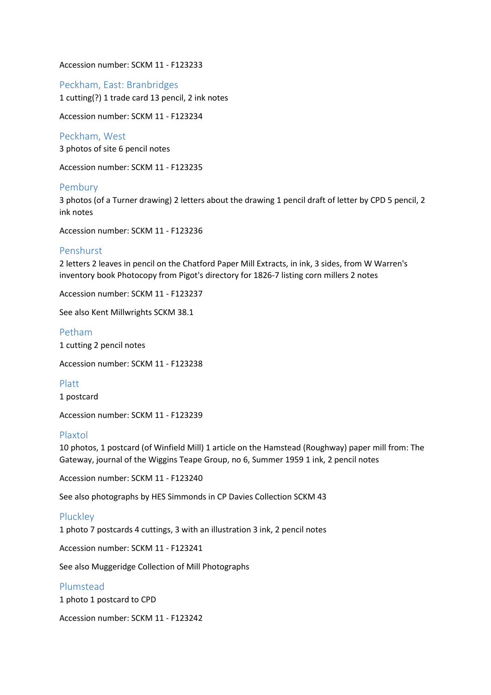Accession number: SCKM 11 - F123233

Peckham, East: Branbridges 1 cutting(?) 1 trade card 13 pencil, 2 ink notes

Accession number: SCKM 11 - F123234

Peckham, West 3 photos of site 6 pencil notes

Accession number: SCKM 11 - F123235

## Pembury

3 photos (of a Turner drawing) 2 letters about the drawing 1 pencil draft of letter by CPD 5 pencil, 2 ink notes

Accession number: SCKM 11 - F123236

## Penshurst

2 letters 2 leaves in pencil on the Chatford Paper Mill Extracts, in ink, 3 sides, from W Warren's inventory book Photocopy from Pigot's directory for 1826-7 listing corn millers 2 notes

Accession number: SCKM 11 - F123237

See also Kent Millwrights SCKM 38.1

Petham 1 cutting 2 pencil notes

Accession number: SCKM 11 - F123238

Platt

1 postcard

Accession number: SCKM 11 - F123239

## Plaxtol

10 photos, 1 postcard (of Winfield Mill) 1 article on the Hamstead (Roughway) paper mill from: The Gateway, journal of the Wiggins Teape Group, no 6, Summer 1959 1 ink, 2 pencil notes

Accession number: SCKM 11 - F123240

See also photographs by HES Simmonds in CP Davies Collection SCKM 43

## **Pluckley**

1 photo 7 postcards 4 cuttings, 3 with an illustration 3 ink, 2 pencil notes

Accession number: SCKM 11 - F123241

See also Muggeridge Collection of Mill Photographs

## Plumstead

1 photo 1 postcard to CPD

Accession number: SCKM 11 - F123242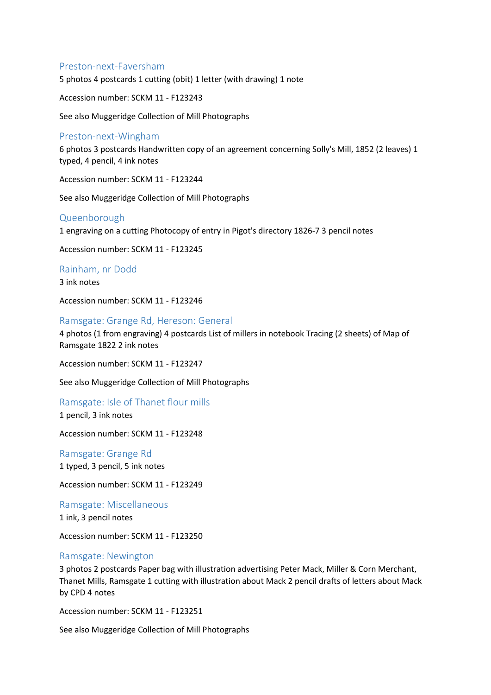## Preston-next-Faversham

5 photos 4 postcards 1 cutting (obit) 1 letter (with drawing) 1 note

Accession number: SCKM 11 - F123243

See also Muggeridge Collection of Mill Photographs

## Preston-next-Wingham

6 photos 3 postcards Handwritten copy of an agreement concerning Solly's Mill, 1852 (2 leaves) 1 typed, 4 pencil, 4 ink notes

Accession number: SCKM 11 - F123244

See also Muggeridge Collection of Mill Photographs

#### Queenborough

1 engraving on a cutting Photocopy of entry in Pigot's directory 1826-7 3 pencil notes

Accession number: SCKM 11 - F123245

Rainham, nr Dodd

3 ink notes

Accession number: SCKM 11 - F123246

#### Ramsgate: Grange Rd, Hereson: General

4 photos (1 from engraving) 4 postcards List of millers in notebook Tracing (2 sheets) of Map of Ramsgate 1822 2 ink notes

Accession number: SCKM 11 - F123247

See also Muggeridge Collection of Mill Photographs

Ramsgate: Isle of Thanet flour mills 1 pencil, 3 ink notes

Accession number: SCKM 11 - F123248

Ramsgate: Grange Rd 1 typed, 3 pencil, 5 ink notes

Accession number: SCKM 11 - F123249

Ramsgate: Miscellaneous 1 ink, 3 pencil notes

Accession number: SCKM 11 - F123250

#### Ramsgate: Newington

3 photos 2 postcards Paper bag with illustration advertising Peter Mack, Miller & Corn Merchant, Thanet Mills, Ramsgate 1 cutting with illustration about Mack 2 pencil drafts of letters about Mack by CPD 4 notes

Accession number: SCKM 11 - F123251

See also Muggeridge Collection of Mill Photographs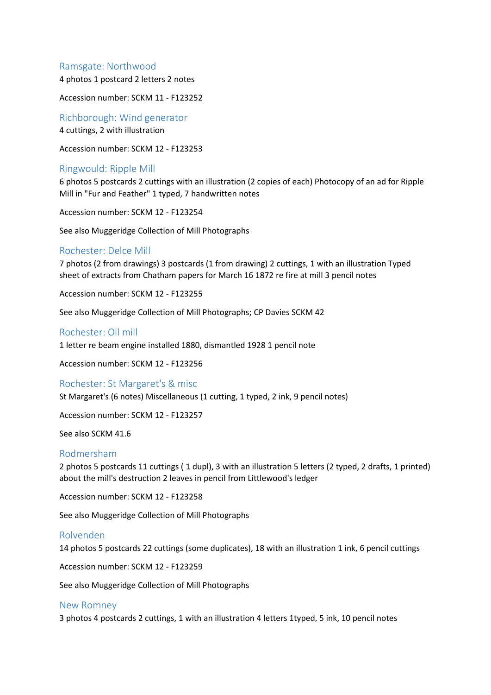## Ramsgate: Northwood

4 photos 1 postcard 2 letters 2 notes

Accession number: SCKM 11 - F123252

Richborough: Wind generator 4 cuttings, 2 with illustration

Accession number: SCKM 12 - F123253

#### Ringwould: Ripple Mill

6 photos 5 postcards 2 cuttings with an illustration (2 copies of each) Photocopy of an ad for Ripple Mill in "Fur and Feather" 1 typed, 7 handwritten notes

Accession number: SCKM 12 - F123254

See also Muggeridge Collection of Mill Photographs

#### Rochester: Delce Mill

7 photos (2 from drawings) 3 postcards (1 from drawing) 2 cuttings, 1 with an illustration Typed sheet of extracts from Chatham papers for March 16 1872 re fire at mill 3 pencil notes

Accession number: SCKM 12 - F123255

See also Muggeridge Collection of Mill Photographs; CP Davies SCKM 42

#### Rochester: Oil mill

1 letter re beam engine installed 1880, dismantled 1928 1 pencil note

Accession number: SCKM 12 - F123256

#### Rochester: St Margaret's & misc

St Margaret's (6 notes) Miscellaneous (1 cutting, 1 typed, 2 ink, 9 pencil notes)

Accession number: SCKM 12 - F123257

See also SCKM 41.6

#### Rodmersham

2 photos 5 postcards 11 cuttings ( 1 dupl), 3 with an illustration 5 letters (2 typed, 2 drafts, 1 printed) about the mill's destruction 2 leaves in pencil from Littlewood's ledger

Accession number: SCKM 12 - F123258

See also Muggeridge Collection of Mill Photographs

#### Rolvenden

14 photos 5 postcards 22 cuttings (some duplicates), 18 with an illustration 1 ink, 6 pencil cuttings

Accession number: SCKM 12 - F123259

See also Muggeridge Collection of Mill Photographs

#### New Romney

3 photos 4 postcards 2 cuttings, 1 with an illustration 4 letters 1typed, 5 ink, 10 pencil notes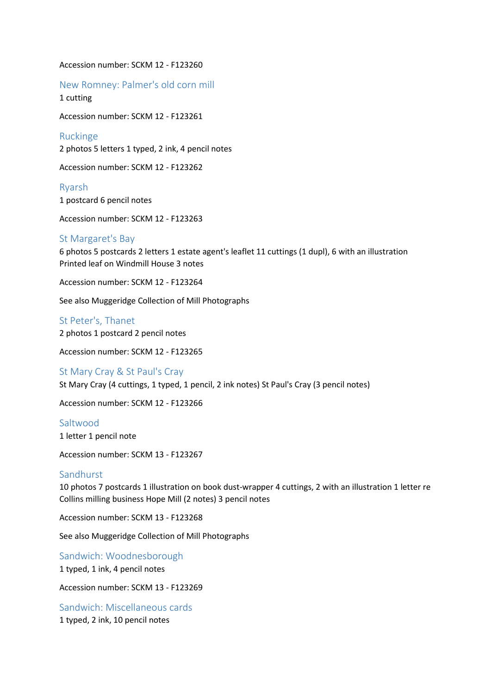#### Accession number: SCKM 12 - F123260

New Romney: Palmer's old corn mill 1 cutting

Accession number: SCKM 12 - F123261

Ruckinge 2 photos 5 letters 1 typed, 2 ink, 4 pencil notes

Accession number: SCKM 12 - F123262

Ryarsh 1 postcard 6 pencil notes

Accession number: SCKM 12 - F123263

## St Margaret's Bay

6 photos 5 postcards 2 letters 1 estate agent's leaflet 11 cuttings (1 dupl), 6 with an illustration Printed leaf on Windmill House 3 notes

Accession number: SCKM 12 - F123264

See also Muggeridge Collection of Mill Photographs

St Peter's, Thanet 2 photos 1 postcard 2 pencil notes

Accession number: SCKM 12 - F123265

St Mary Cray & St Paul's Cray St Mary Cray (4 cuttings, 1 typed, 1 pencil, 2 ink notes) St Paul's Cray (3 pencil notes)

Accession number: SCKM 12 - F123266

## Saltwood

1 letter 1 pencil note

Accession number: SCKM 13 - F123267

#### Sandhurst

10 photos 7 postcards 1 illustration on book dust-wrapper 4 cuttings, 2 with an illustration 1 letter re Collins milling business Hope Mill (2 notes) 3 pencil notes

Accession number: SCKM 13 - F123268

See also Muggeridge Collection of Mill Photographs

Sandwich: Woodnesborough 1 typed, 1 ink, 4 pencil notes

Accession number: SCKM 13 - F123269

Sandwich: Miscellaneous cards 1 typed, 2 ink, 10 pencil notes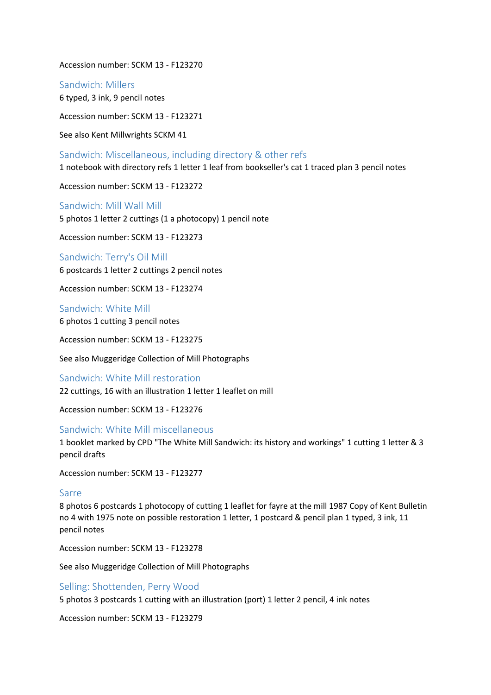Accession number: SCKM 13 - F123270

Sandwich: Millers

6 typed, 3 ink, 9 pencil notes

Accession number: SCKM 13 - F123271

See also Kent Millwrights SCKM 41

Sandwich: Miscellaneous, including directory & other refs 1 notebook with directory refs 1 letter 1 leaf from bookseller's cat 1 traced plan 3 pencil notes

Accession number: SCKM 13 - F123272

Sandwich: Mill Wall Mill 5 photos 1 letter 2 cuttings (1 a photocopy) 1 pencil note

Accession number: SCKM 13 - F123273

Sandwich: Terry's Oil Mill 6 postcards 1 letter 2 cuttings 2 pencil notes

Accession number: SCKM 13 - F123274

Sandwich: White Mill 6 photos 1 cutting 3 pencil notes

Accession number: SCKM 13 - F123275

See also Muggeridge Collection of Mill Photographs

Sandwich: White Mill restoration 22 cuttings, 16 with an illustration 1 letter 1 leaflet on mill

Accession number: SCKM 13 - F123276

## Sandwich: White Mill miscellaneous

1 booklet marked by CPD "The White Mill Sandwich: its history and workings" 1 cutting 1 letter & 3 pencil drafts

Accession number: SCKM 13 - F123277

## Sarre

8 photos 6 postcards 1 photocopy of cutting 1 leaflet for fayre at the mill 1987 Copy of Kent Bulletin no 4 with 1975 note on possible restoration 1 letter, 1 postcard & pencil plan 1 typed, 3 ink, 11 pencil notes

Accession number: SCKM 13 - F123278

See also Muggeridge Collection of Mill Photographs

## Selling: Shottenden, Perry Wood

5 photos 3 postcards 1 cutting with an illustration (port) 1 letter 2 pencil, 4 ink notes

Accession number: SCKM 13 - F123279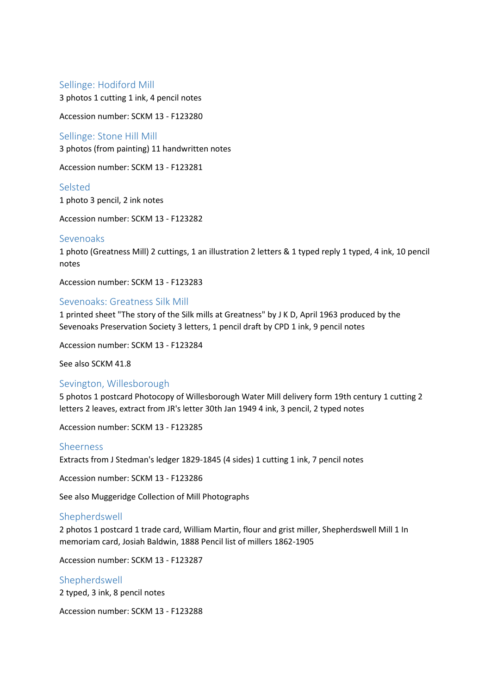## Sellinge: Hodiford Mill

3 photos 1 cutting 1 ink, 4 pencil notes

Accession number: SCKM 13 - F123280

#### Sellinge: Stone Hill Mill

3 photos (from painting) 11 handwritten notes

Accession number: SCKM 13 - F123281

## Selsted

1 photo 3 pencil, 2 ink notes

Accession number: SCKM 13 - F123282

#### Sevenoaks

1 photo (Greatness Mill) 2 cuttings, 1 an illustration 2 letters & 1 typed reply 1 typed, 4 ink, 10 pencil notes

Accession number: SCKM 13 - F123283

#### Sevenoaks: Greatness Silk Mill

1 printed sheet "The story of the Silk mills at Greatness" by J K D, April 1963 produced by the Sevenoaks Preservation Society 3 letters, 1 pencil draft by CPD 1 ink, 9 pencil notes

Accession number: SCKM 13 - F123284

See also SCKM 41.8

#### Sevington, Willesborough

5 photos 1 postcard Photocopy of Willesborough Water Mill delivery form 19th century 1 cutting 2 letters 2 leaves, extract from JR's letter 30th Jan 1949 4 ink, 3 pencil, 2 typed notes

Accession number: SCKM 13 - F123285

#### Sheerness

Extracts from J Stedman's ledger 1829-1845 (4 sides) 1 cutting 1 ink, 7 pencil notes

Accession number: SCKM 13 - F123286

See also Muggeridge Collection of Mill Photographs

#### Shepherdswell

2 photos 1 postcard 1 trade card, William Martin, flour and grist miller, Shepherdswell Mill 1 In memoriam card, Josiah Baldwin, 1888 Pencil list of millers 1862-1905

Accession number: SCKM 13 - F123287

#### Shepherdswell

2 typed, 3 ink, 8 pencil notes

Accession number: SCKM 13 - F123288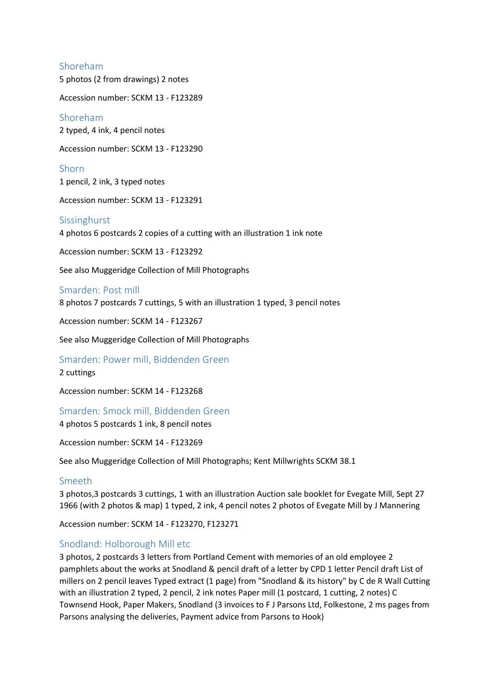## Shoreham

5 photos (2 from drawings) 2 notes

Accession number: SCKM 13 - F123289

Shoreham

2 typed, 4 ink, 4 pencil notes

Accession number: SCKM 13 - F123290

Shorn 1 pencil, 2 ink, 3 typed notes

Accession number: SCKM 13 - F123291

## Sissinghurst

4 photos 6 postcards 2 copies of a cutting with an illustration 1 ink note

Accession number: SCKM 13 - F123292

See also Muggeridge Collection of Mill Photographs

#### Smarden: Post mill

8 photos 7 postcards 7 cuttings, 5 with an illustration 1 typed, 3 pencil notes

Accession number: SCKM 14 - F123267

See also Muggeridge Collection of Mill Photographs

# Smarden: Power mill, Biddenden Green

## 2 cuttings

Accession number: SCKM 14 - F123268

Smarden: Smock mill, Biddenden Green

4 photos 5 postcards 1 ink, 8 pencil notes

Accession number: SCKM 14 - F123269

See also Muggeridge Collection of Mill Photographs; Kent Millwrights SCKM 38.1

#### Smeeth

3 photos,3 postcards 3 cuttings, 1 with an illustration Auction sale booklet for Evegate Mill, Sept 27 1966 (with 2 photos & map) 1 typed, 2 ink, 4 pencil notes 2 photos of Evegate Mill by J Mannering

Accession number: SCKM 14 - F123270, F123271

## Snodland: Holborough Mill etc

3 photos, 2 postcards 3 letters from Portland Cement with memories of an old employee 2 pamphlets about the works at Snodland & pencil draft of a letter by CPD 1 letter Pencil draft List of millers on 2 pencil leaves Typed extract (1 page) from "Snodland & its history" by C de R Wall Cutting with an illustration 2 typed, 2 pencil, 2 ink notes Paper mill (1 postcard, 1 cutting, 2 notes) C Townsend Hook, Paper Makers, Snodland (3 invoices to F J Parsons Ltd, Folkestone, 2 ms pages from Parsons analysing the deliveries, Payment advice from Parsons to Hook)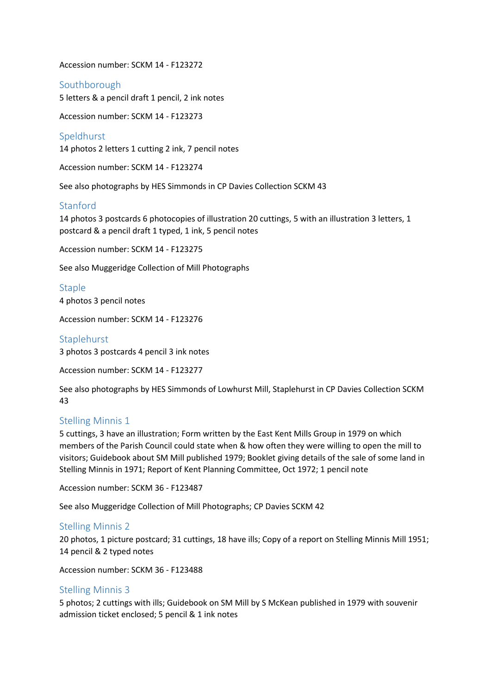Accession number: SCKM 14 - F123272

Southborough 5 letters & a pencil draft 1 pencil, 2 ink notes

Accession number: SCKM 14 - F123273

Speldhurst 14 photos 2 letters 1 cutting 2 ink, 7 pencil notes

Accession number: SCKM 14 - F123274

See also photographs by HES Simmonds in CP Davies Collection SCKM 43

## Stanford

14 photos 3 postcards 6 photocopies of illustration 20 cuttings, 5 with an illustration 3 letters, 1 postcard & a pencil draft 1 typed, 1 ink, 5 pencil notes

Accession number: SCKM 14 - F123275

See also Muggeridge Collection of Mill Photographs

**Staple** 4 photos 3 pencil notes

Accession number: SCKM 14 - F123276

## Staplehurst

3 photos 3 postcards 4 pencil 3 ink notes

Accession number: SCKM 14 - F123277

See also photographs by HES Simmonds of Lowhurst Mill, Staplehurst in CP Davies Collection SCKM 43

## Stelling Minnis 1

5 cuttings, 3 have an illustration; Form written by the East Kent Mills Group in 1979 on which members of the Parish Council could state when & how often they were willing to open the mill to visitors; Guidebook about SM Mill published 1979; Booklet giving details of the sale of some land in Stelling Minnis in 1971; Report of Kent Planning Committee, Oct 1972; 1 pencil note

Accession number: SCKM 36 - F123487

See also Muggeridge Collection of Mill Photographs; CP Davies SCKM 42

## Stelling Minnis 2

20 photos, 1 picture postcard; 31 cuttings, 18 have ills; Copy of a report on Stelling Minnis Mill 1951; 14 pencil & 2 typed notes

Accession number: SCKM 36 - F123488

## Stelling Minnis 3

5 photos; 2 cuttings with ills; Guidebook on SM Mill by S McKean published in 1979 with souvenir admission ticket enclosed; 5 pencil & 1 ink notes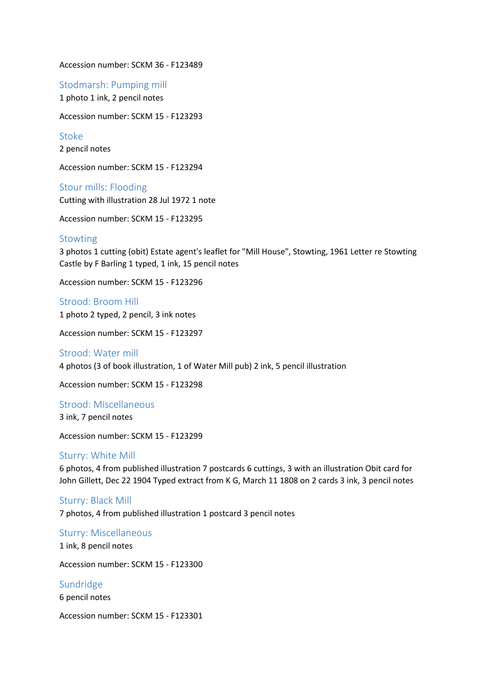Accession number: SCKM 36 - F123489

Stodmarsh: Pumping mill 1 photo 1 ink, 2 pencil notes

Accession number: SCKM 15 - F123293

Stoke 2 pencil notes

Accession number: SCKM 15 - F123294

Stour mills: Flooding Cutting with illustration 28 Jul 1972 1 note

Accession number: SCKM 15 - F123295

#### Stowting

3 photos 1 cutting (obit) Estate agent's leaflet for "Mill House", Stowting, 1961 Letter re Stowting Castle by F Barling 1 typed, 1 ink, 15 pencil notes

Accession number: SCKM 15 - F123296

Strood: Broom Hill 1 photo 2 typed, 2 pencil, 3 ink notes

Accession number: SCKM 15 - F123297

Strood: Water mill 4 photos (3 of book illustration, 1 of Water Mill pub) 2 ink, 5 pencil illustration

Accession number: SCKM 15 - F123298

Strood: Miscellaneous 3 ink, 7 pencil notes

Accession number: SCKM 15 - F123299

## Sturry: White Mill

6 photos, 4 from published illustration 7 postcards 6 cuttings, 3 with an illustration Obit card for John Gillett, Dec 22 1904 Typed extract from K G, March 11 1808 on 2 cards 3 ink, 3 pencil notes

#### Sturry: Black Mill

7 photos, 4 from published illustration 1 postcard 3 pencil notes

Sturry: Miscellaneous 1 ink, 8 pencil notes

Accession number: SCKM 15 - F123300

Sundridge 6 pencil notes

Accession number: SCKM 15 - F123301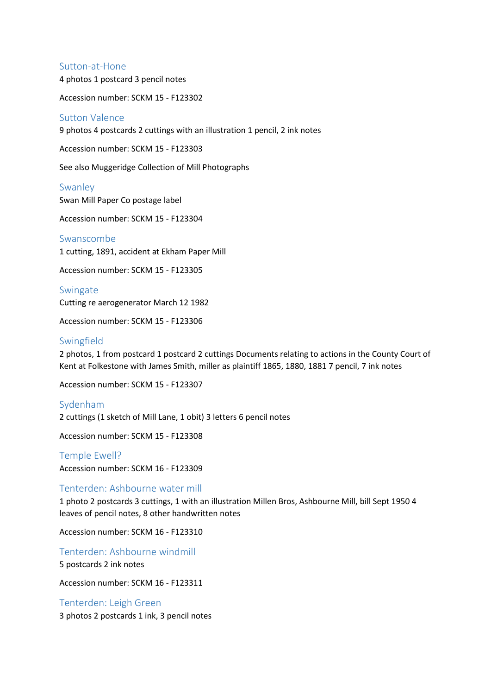#### Sutton-at-Hone

4 photos 1 postcard 3 pencil notes

Accession number: SCKM 15 - F123302

#### Sutton Valence

9 photos 4 postcards 2 cuttings with an illustration 1 pencil, 2 ink notes

Accession number: SCKM 15 - F123303

See also Muggeridge Collection of Mill Photographs

#### Swanley

Swan Mill Paper Co postage label

Accession number: SCKM 15 - F123304

Swanscombe 1 cutting, 1891, accident at Ekham Paper Mill

Accession number: SCKM 15 - F123305

Swingate Cutting re aerogenerator March 12 1982

Accession number: SCKM 15 - F123306

## Swingfield

2 photos, 1 from postcard 1 postcard 2 cuttings Documents relating to actions in the County Court of Kent at Folkestone with James Smith, miller as plaintiff 1865, 1880, 1881 7 pencil, 7 ink notes

Accession number: SCKM 15 - F123307

#### Sydenham

2 cuttings (1 sketch of Mill Lane, 1 obit) 3 letters 6 pencil notes

Accession number: SCKM 15 - F123308

Temple Ewell? Accession number: SCKM 16 - F123309

#### Tenterden: Ashbourne water mill

1 photo 2 postcards 3 cuttings, 1 with an illustration Millen Bros, Ashbourne Mill, bill Sept 1950 4 leaves of pencil notes, 8 other handwritten notes

Accession number: SCKM 16 - F123310

Tenterden: Ashbourne windmill 5 postcards 2 ink notes

Accession number: SCKM 16 - F123311

Tenterden: Leigh Green 3 photos 2 postcards 1 ink, 3 pencil notes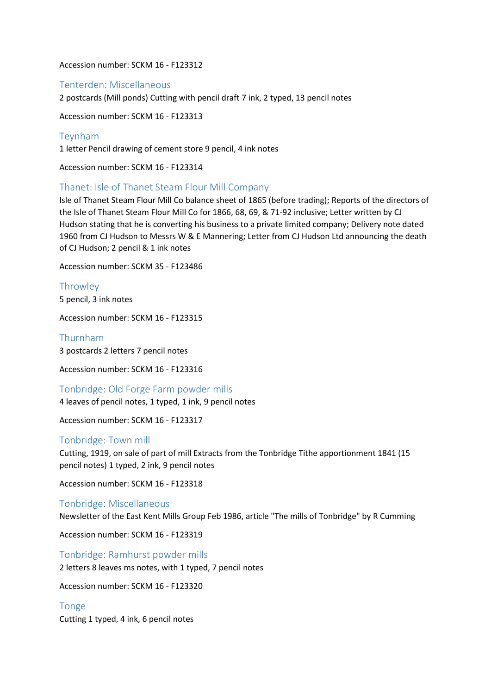Accession number: SCKM 16 - F123312

Tenterden: Miscellaneous

2 postcards (Mill ponds) Cutting with pencil draft 7 ink, 2 typed, 13 pencil notes

Accession number: SCKM 16 - F123313

Teynham 1 letter Pencil drawing of cement store 9 pencil, 4 ink notes

Accession number: SCKM 16 - F123314

## Thanet: Isle of Thanet Steam Flour Mill Company

Isle of Thanet Steam Flour Mill Co balance sheet of 1865 (before trading); Reports of the directors of the Isle of Thanet Steam Flour Mill Co for 1866, 68, 69, & 71-92 inclusive; Letter written by CJ Hudson stating that he is converting his business to a private limited company; Delivery note dated 1960 from CJ Hudson to Messrs W & E Mannering; Letter from CJ Hudson Ltd announcing the death of CJ Hudson; 2 pencil & 1 ink notes

Accession number: SCKM 35 - F123486

**Throwley** 5 pencil, 3 ink notes

Accession number: SCKM 16 - F123315

Thurnham 3 postcards 2 letters 7 pencil notes

Accession number: SCKM 16 - F123316

Tonbridge: Old Forge Farm powder mills

4 leaves of pencil notes, 1 typed, 1 ink, 9 pencil notes

Accession number: SCKM 16 - F123317

#### Tonbridge: Town mill

Cutting, 1919, on sale of part of mill Extracts from the Tonbridge Tithe apportionment 1841 (15 pencil notes) 1 typed, 2 ink, 9 pencil notes

Accession number: SCKM 16 - F123318

Tonbridge: Miscellaneous

Newsletter of the East Kent Mills Group Feb 1986, article "The mills of Tonbridge" by R Cumming

Accession number: SCKM 16 - F123319

Tonbridge: Ramhurst powder mills 2 letters 8 leaves ms notes, with 1 typed, 7 pencil notes

Accession number: SCKM 16 - F123320

Tonge Cutting 1 typed, 4 ink, 6 pencil notes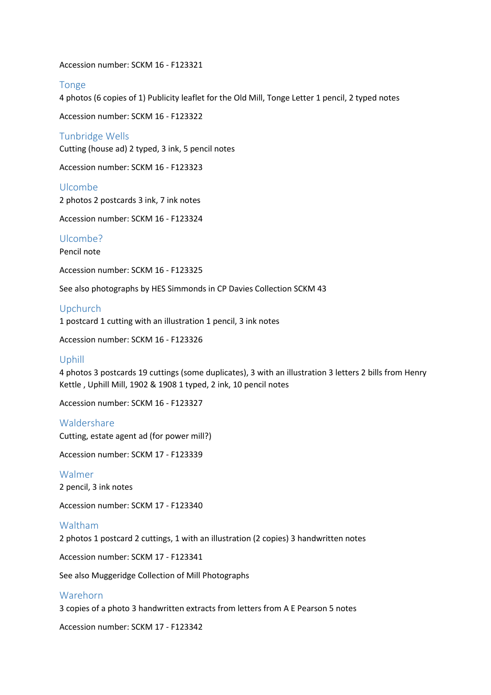Accession number: SCKM 16 - F123321

## Tonge

4 photos (6 copies of 1) Publicity leaflet for the Old Mill, Tonge Letter 1 pencil, 2 typed notes

Accession number: SCKM 16 - F123322

Tunbridge Wells Cutting (house ad) 2 typed, 3 ink, 5 pencil notes

Accession number: SCKM 16 - F123323

Ulcombe 2 photos 2 postcards 3 ink, 7 ink notes

Accession number: SCKM 16 - F123324

Ulcombe?

Pencil note

Accession number: SCKM 16 - F123325

See also photographs by HES Simmonds in CP Davies Collection SCKM 43

Upchurch

1 postcard 1 cutting with an illustration 1 pencil, 3 ink notes

Accession number: SCKM 16 - F123326

## Uphill

4 photos 3 postcards 19 cuttings (some duplicates), 3 with an illustration 3 letters 2 bills from Henry Kettle , Uphill Mill, 1902 & 1908 1 typed, 2 ink, 10 pencil notes

Accession number: SCKM 16 - F123327

## Waldershare

Cutting, estate agent ad (for power mill?)

Accession number: SCKM 17 - F123339

Walmer 2 pencil, 3 ink notes

Accession number: SCKM 17 - F123340

## Waltham

2 photos 1 postcard 2 cuttings, 1 with an illustration (2 copies) 3 handwritten notes

Accession number: SCKM 17 - F123341

See also Muggeridge Collection of Mill Photographs

#### Warehorn

3 copies of a photo 3 handwritten extracts from letters from A E Pearson 5 notes

Accession number: SCKM 17 - F123342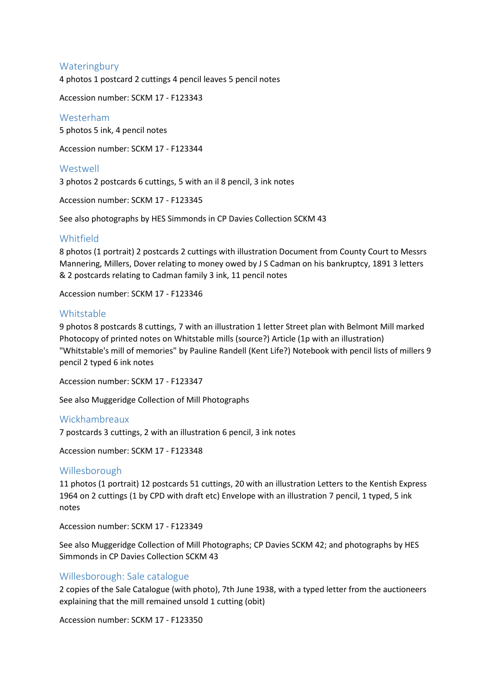## **Wateringbury**

4 photos 1 postcard 2 cuttings 4 pencil leaves 5 pencil notes

Accession number: SCKM 17 - F123343

## Westerham

5 photos 5 ink, 4 pencil notes

Accession number: SCKM 17 - F123344

#### Westwell

3 photos 2 postcards 6 cuttings, 5 with an il 8 pencil, 3 ink notes

Accession number: SCKM 17 - F123345

See also photographs by HES Simmonds in CP Davies Collection SCKM 43

## Whitfield

8 photos (1 portrait) 2 postcards 2 cuttings with illustration Document from County Court to Messrs Mannering, Millers, Dover relating to money owed by J S Cadman on his bankruptcy, 1891 3 letters & 2 postcards relating to Cadman family 3 ink, 11 pencil notes

Accession number: SCKM 17 - F123346

## Whitstable

9 photos 8 postcards 8 cuttings, 7 with an illustration 1 letter Street plan with Belmont Mill marked Photocopy of printed notes on Whitstable mills (source?) Article (1p with an illustration) "Whitstable's mill of memories" by Pauline Randell (Kent Life?) Notebook with pencil lists of millers 9 pencil 2 typed 6 ink notes

Accession number: SCKM 17 - F123347

See also Muggeridge Collection of Mill Photographs

#### Wickhambreaux

7 postcards 3 cuttings, 2 with an illustration 6 pencil, 3 ink notes

Accession number: SCKM 17 - F123348

#### Willesborough

11 photos (1 portrait) 12 postcards 51 cuttings, 20 with an illustration Letters to the Kentish Express 1964 on 2 cuttings (1 by CPD with draft etc) Envelope with an illustration 7 pencil, 1 typed, 5 ink notes

Accession number: SCKM 17 - F123349

See also Muggeridge Collection of Mill Photographs; CP Davies SCKM 42; and photographs by HES Simmonds in CP Davies Collection SCKM 43

## Willesborough: Sale catalogue

2 copies of the Sale Catalogue (with photo), 7th June 1938, with a typed letter from the auctioneers explaining that the mill remained unsold 1 cutting (obit)

Accession number: SCKM 17 - F123350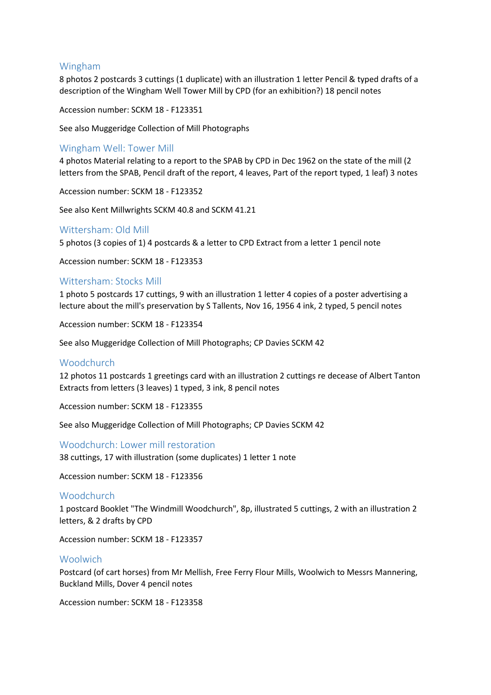## Wingham

8 photos 2 postcards 3 cuttings (1 duplicate) with an illustration 1 letter Pencil & typed drafts of a description of the Wingham Well Tower Mill by CPD (for an exhibition?) 18 pencil notes

Accession number: SCKM 18 - F123351

See also Muggeridge Collection of Mill Photographs

## Wingham Well: Tower Mill

4 photos Material relating to a report to the SPAB by CPD in Dec 1962 on the state of the mill (2 letters from the SPAB, Pencil draft of the report, 4 leaves, Part of the report typed, 1 leaf) 3 notes

Accession number: SCKM 18 - F123352

See also Kent Millwrights SCKM 40.8 and SCKM 41.21

## Wittersham: Old Mill

5 photos (3 copies of 1) 4 postcards & a letter to CPD Extract from a letter 1 pencil note

Accession number: SCKM 18 - F123353

## Wittersham: Stocks Mill

1 photo 5 postcards 17 cuttings, 9 with an illustration 1 letter 4 copies of a poster advertising a lecture about the mill's preservation by S Tallents, Nov 16, 1956 4 ink, 2 typed, 5 pencil notes

Accession number: SCKM 18 - F123354

See also Muggeridge Collection of Mill Photographs; CP Davies SCKM 42

#### Woodchurch

12 photos 11 postcards 1 greetings card with an illustration 2 cuttings re decease of Albert Tanton Extracts from letters (3 leaves) 1 typed, 3 ink, 8 pencil notes

Accession number: SCKM 18 - F123355

See also Muggeridge Collection of Mill Photographs; CP Davies SCKM 42

#### Woodchurch: Lower mill restoration

38 cuttings, 17 with illustration (some duplicates) 1 letter 1 note

Accession number: SCKM 18 - F123356

#### **Woodchurch**

1 postcard Booklet "The Windmill Woodchurch", 8p, illustrated 5 cuttings, 2 with an illustration 2 letters, & 2 drafts by CPD

Accession number: SCKM 18 - F123357

#### **Woolwich**

Postcard (of cart horses) from Mr Mellish, Free Ferry Flour Mills, Woolwich to Messrs Mannering, Buckland Mills, Dover 4 pencil notes

Accession number: SCKM 18 - F123358